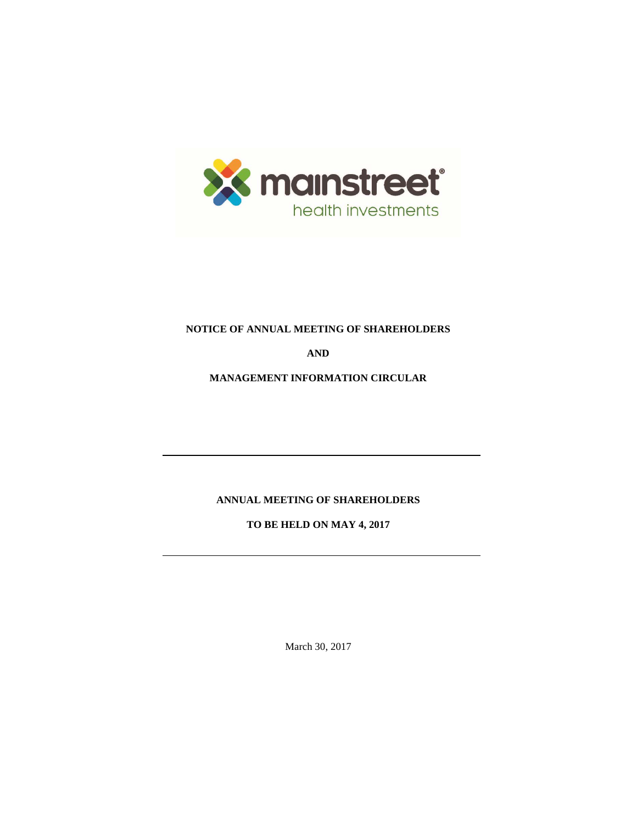

# **NOTICE OF ANNUAL MEETING OF SHAREHOLDERS**

**AND**

**MANAGEMENT INFORMATION CIRCULAR**

**ANNUAL MEETING OF SHAREHOLDERS**

**TO BE HELD ON MAY 4, 2017**

March 30, 2017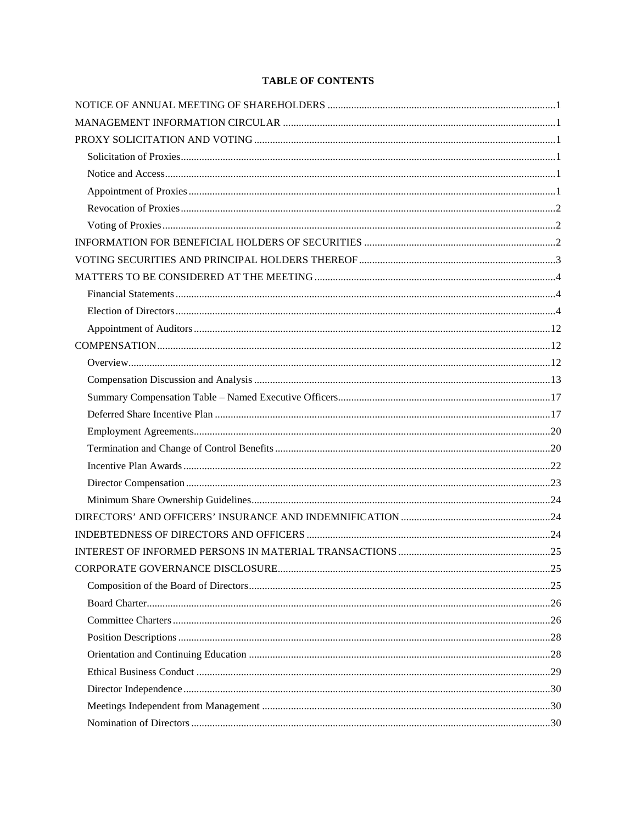# **TABLE OF CONTENTS**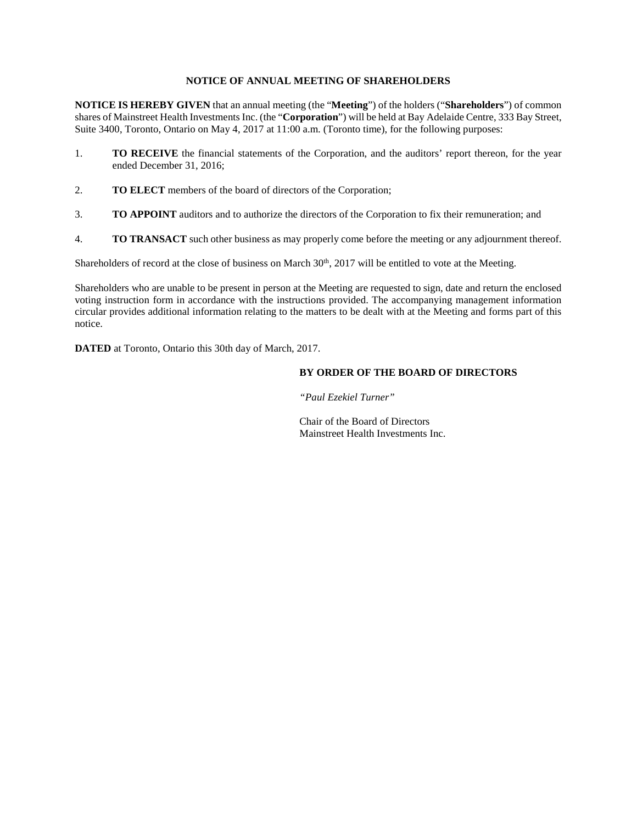# **NOTICE OF ANNUAL MEETING OF SHAREHOLDERS**

<span id="page-3-0"></span>**NOTICE IS HEREBY GIVEN** that an annual meeting (the "**Meeting**") of the holders ("**Shareholders**") of common shares of Mainstreet Health Investments Inc. (the "**Corporation**") will be held at Bay Adelaide Centre, 333 Bay Street, Suite 3400, Toronto, Ontario on May 4, 2017 at 11:00 a.m. (Toronto time), for the following purposes:

- 1. **TO RECEIVE** the financial statements of the Corporation, and the auditors' report thereon, for the year ended December 31, 2016;
- 2. **TO ELECT** members of the board of directors of the Corporation;
- 3. **TO APPOINT** auditors and to authorize the directors of the Corporation to fix their remuneration; and
- 4. **TO TRANSACT** such other business as may properly come before the meeting or any adjournment thereof.

Shareholders of record at the close of business on March 30<sup>th</sup>, 2017 will be entitled to vote at the Meeting.

Shareholders who are unable to be present in person at the Meeting are requested to sign, date and return the enclosed voting instruction form in accordance with the instructions provided. The accompanying management information circular provides additional information relating to the matters to be dealt with at the Meeting and forms part of this notice.

**DATED** at Toronto, Ontario this 30th day of March, 2017.

# **BY ORDER OF THE BOARD OF DIRECTORS**

*"Paul Ezekiel Turner"*

Chair of the Board of Directors Mainstreet Health Investments Inc.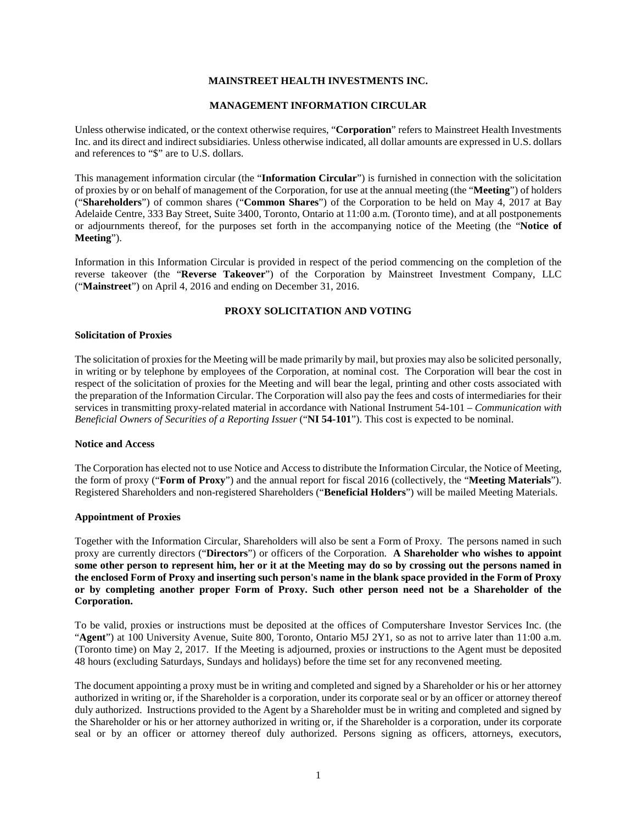### **MAINSTREET HEALTH INVESTMENTS INC.**

### **MANAGEMENT INFORMATION CIRCULAR**

<span id="page-4-0"></span>Unless otherwise indicated, or the context otherwise requires, "**Corporation**" refers to Mainstreet Health Investments Inc. and its direct and indirect subsidiaries. Unless otherwise indicated, all dollar amounts are expressed in U.S. dollars and references to "\$" are to U.S. dollars.

This management information circular (the "**Information Circular**") is furnished in connection with the solicitation of proxies by or on behalf of management of the Corporation, for use at the annual meeting (the "**Meeting**") of holders ("**Shareholders**") of common shares ("**Common Shares**") of the Corporation to be held on May 4, 2017 at Bay Adelaide Centre, 333 Bay Street, Suite 3400, Toronto, Ontario at 11:00 a.m. (Toronto time), and at all postponements or adjournments thereof, for the purposes set forth in the accompanying notice of the Meeting (the "**Notice of Meeting**").

Information in this Information Circular is provided in respect of the period commencing on the completion of the reverse takeover (the "**Reverse Takeover**") of the Corporation by Mainstreet Investment Company, LLC ("**Mainstreet**") on April 4, 2016 and ending on December 31, 2016.

### **PROXY SOLICITATION AND VOTING**

#### <span id="page-4-2"></span><span id="page-4-1"></span>**Solicitation of Proxies**

The solicitation of proxies for the Meeting will be made primarily by mail, but proxies may also be solicited personally, in writing or by telephone by employees of the Corporation, at nominal cost. The Corporation will bear the cost in respect of the solicitation of proxies for the Meeting and will bear the legal, printing and other costs associated with the preparation of the Information Circular. The Corporation will also pay the fees and costs of intermediaries for their services in transmitting proxy-related material in accordance with National Instrument 54-101 – *Communication with Beneficial Owners of Securities of a Reporting Issuer* ("**NI 54-101**"). This cost is expected to be nominal.

#### <span id="page-4-3"></span>**Notice and Access**

The Corporation has elected not to use Notice and Access to distribute the Information Circular, the Notice of Meeting, the form of proxy ("**Form of Proxy**") and the annual report for fiscal 2016 (collectively, the "**Meeting Materials**"). Registered Shareholders and non-registered Shareholders ("**Beneficial Holders**") will be mailed Meeting Materials.

#### <span id="page-4-4"></span>**Appointment of Proxies**

Together with the Information Circular, Shareholders will also be sent a Form of Proxy. The persons named in such proxy are currently directors ("**Directors**") or officers of the Corporation. **A Shareholder who wishes to appoint some other person to represent him, her or it at the Meeting may do so by crossing out the persons named in the enclosed Form of Proxy and inserting such person's name in the blank space provided in the Form of Proxy or by completing another proper Form of Proxy. Such other person need not be a Shareholder of the Corporation.**

To be valid, proxies or instructions must be deposited at the offices of Computershare Investor Services Inc. (the "**Agent**") at 100 University Avenue, Suite 800, Toronto, Ontario M5J 2Y1, so as not to arrive later than 11:00 a.m. (Toronto time) on May 2, 2017. If the Meeting is adjourned, proxies or instructions to the Agent must be deposited 48 hours (excluding Saturdays, Sundays and holidays) before the time set for any reconvened meeting.

The document appointing a proxy must be in writing and completed and signed by a Shareholder or his or her attorney authorized in writing or, if the Shareholder is a corporation, under its corporate seal or by an officer or attorney thereof duly authorized. Instructions provided to the Agent by a Shareholder must be in writing and completed and signed by the Shareholder or his or her attorney authorized in writing or, if the Shareholder is a corporation, under its corporate seal or by an officer or attorney thereof duly authorized. Persons signing as officers, attorneys, executors,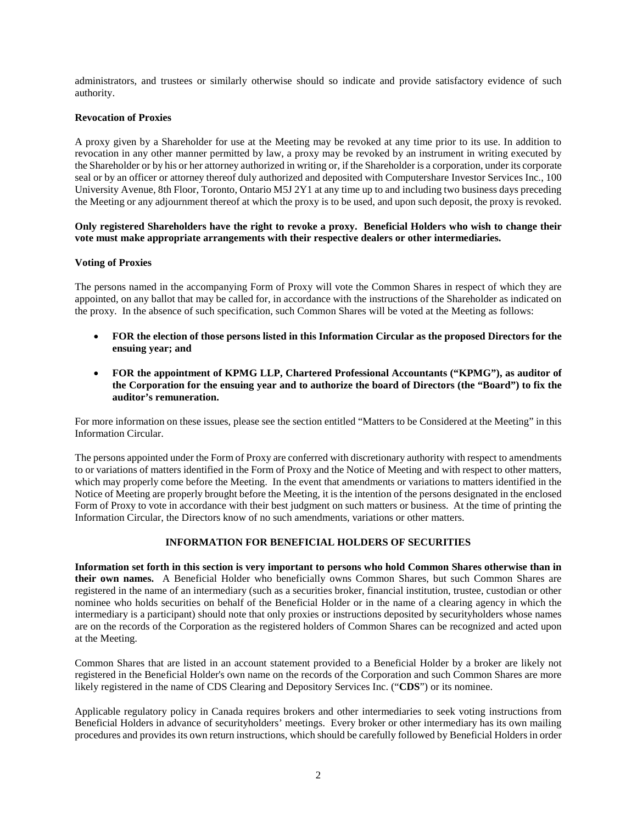administrators, and trustees or similarly otherwise should so indicate and provide satisfactory evidence of such authority.

## <span id="page-5-0"></span>**Revocation of Proxies**

A proxy given by a Shareholder for use at the Meeting may be revoked at any time prior to its use. In addition to revocation in any other manner permitted by law, a proxy may be revoked by an instrument in writing executed by the Shareholder or by his or her attorney authorized in writing or, if the Shareholder is a corporation, under its corporate seal or by an officer or attorney thereof duly authorized and deposited with Computershare Investor Services Inc., 100 University Avenue, 8th Floor, Toronto, Ontario M5J 2Y1 at any time up to and including two business days preceding the Meeting or any adjournment thereof at which the proxy is to be used, and upon such deposit, the proxy is revoked.

## **Only registered Shareholders have the right to revoke a proxy. Beneficial Holders who wish to change their vote must make appropriate arrangements with their respective dealers or other intermediaries.**

### <span id="page-5-1"></span>**Voting of Proxies**

The persons named in the accompanying Form of Proxy will vote the Common Shares in respect of which they are appointed, on any ballot that may be called for, in accordance with the instructions of the Shareholder as indicated on the proxy. In the absence of such specification, such Common Shares will be voted at the Meeting as follows:

- **FOR the election of those persons listed in this Information Circular as the proposed Directors for the ensuing year; and**
- **FOR the appointment of KPMG LLP, Chartered Professional Accountants ("KPMG"), as auditor of the Corporation for the ensuing year and to authorize the board of Directors (the "Board") to fix the auditor's remuneration.**

For more information on these issues, please see the section entitled "Matters to be Considered at the Meeting" in this Information Circular.

The persons appointed under the Form of Proxy are conferred with discretionary authority with respect to amendments to or variations of matters identified in the Form of Proxy and the Notice of Meeting and with respect to other matters, which may properly come before the Meeting. In the event that amendments or variations to matters identified in the Notice of Meeting are properly brought before the Meeting, it is the intention of the persons designated in the enclosed Form of Proxy to vote in accordance with their best judgment on such matters or business. At the time of printing the Information Circular, the Directors know of no such amendments, variations or other matters.

# **INFORMATION FOR BENEFICIAL HOLDERS OF SECURITIES**

<span id="page-5-2"></span>**Information set forth in this section is very important to persons who hold Common Shares otherwise than in their own names.** A Beneficial Holder who beneficially owns Common Shares, but such Common Shares are registered in the name of an intermediary (such as a securities broker, financial institution, trustee, custodian or other nominee who holds securities on behalf of the Beneficial Holder or in the name of a clearing agency in which the intermediary is a participant) should note that only proxies or instructions deposited by securityholders whose names are on the records of the Corporation as the registered holders of Common Shares can be recognized and acted upon at the Meeting.

Common Shares that are listed in an account statement provided to a Beneficial Holder by a broker are likely not registered in the Beneficial Holder's own name on the records of the Corporation and such Common Shares are more likely registered in the name of CDS Clearing and Depository Services Inc. ("**CDS**") or its nominee.

Applicable regulatory policy in Canada requires brokers and other intermediaries to seek voting instructions from Beneficial Holders in advance of securityholders' meetings. Every broker or other intermediary has its own mailing procedures and provides its own return instructions, which should be carefully followed by Beneficial Holders in order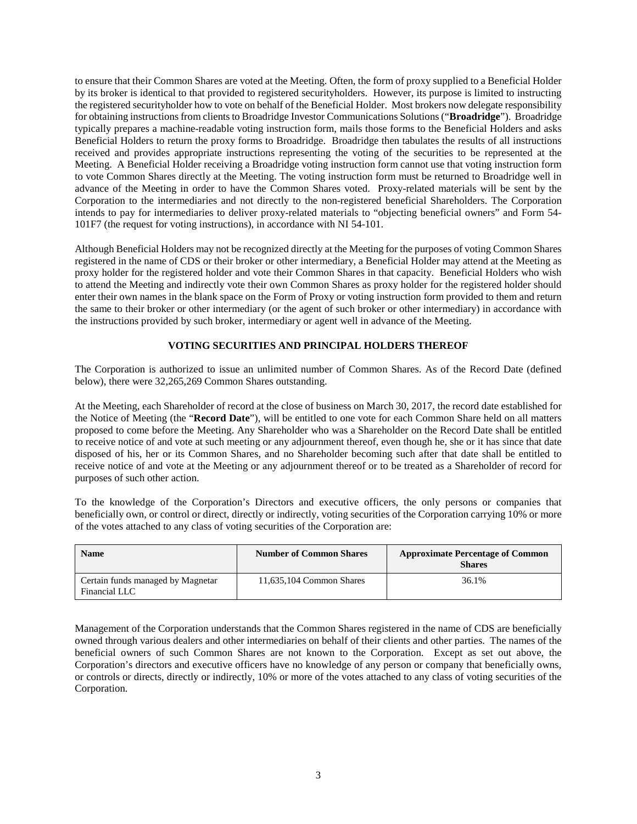to ensure that their Common Shares are voted at the Meeting. Often, the form of proxy supplied to a Beneficial Holder by its broker is identical to that provided to registered securityholders. However, its purpose is limited to instructing the registered securityholder how to vote on behalf of the Beneficial Holder. Most brokers now delegate responsibility for obtaining instructions from clients to Broadridge Investor Communications Solutions ("**Broadridge**"). Broadridge typically prepares a machine-readable voting instruction form, mails those forms to the Beneficial Holders and asks Beneficial Holders to return the proxy forms to Broadridge. Broadridge then tabulates the results of all instructions received and provides appropriate instructions representing the voting of the securities to be represented at the Meeting. A Beneficial Holder receiving a Broadridge voting instruction form cannot use that voting instruction form to vote Common Shares directly at the Meeting. The voting instruction form must be returned to Broadridge well in advance of the Meeting in order to have the Common Shares voted. Proxy-related materials will be sent by the Corporation to the intermediaries and not directly to the non-registered beneficial Shareholders. The Corporation intends to pay for intermediaries to deliver proxy-related materials to "objecting beneficial owners" and Form 54- 101F7 (the request for voting instructions), in accordance with NI 54-101.

Although Beneficial Holders may not be recognized directly at the Meeting for the purposes of voting Common Shares registered in the name of CDS or their broker or other intermediary, a Beneficial Holder may attend at the Meeting as proxy holder for the registered holder and vote their Common Shares in that capacity. Beneficial Holders who wish to attend the Meeting and indirectly vote their own Common Shares as proxy holder for the registered holder should enter their own names in the blank space on the Form of Proxy or voting instruction form provided to them and return the same to their broker or other intermediary (or the agent of such broker or other intermediary) in accordance with the instructions provided by such broker, intermediary or agent well in advance of the Meeting.

# **VOTING SECURITIES AND PRINCIPAL HOLDERS THEREOF**

<span id="page-6-0"></span>The Corporation is authorized to issue an unlimited number of Common Shares. As of the Record Date (defined below), there were 32,265,269 Common Shares outstanding.

At the Meeting, each Shareholder of record at the close of business on March 30, 2017, the record date established for the Notice of Meeting (the "**Record Date**"), will be entitled to one vote for each Common Share held on all matters proposed to come before the Meeting. Any Shareholder who was a Shareholder on the Record Date shall be entitled to receive notice of and vote at such meeting or any adjournment thereof, even though he, she or it has since that date disposed of his, her or its Common Shares, and no Shareholder becoming such after that date shall be entitled to receive notice of and vote at the Meeting or any adjournment thereof or to be treated as a Shareholder of record for purposes of such other action.

To the knowledge of the Corporation's Directors and executive officers, the only persons or companies that beneficially own, or control or direct, directly or indirectly, voting securities of the Corporation carrying 10% or more of the votes attached to any class of voting securities of the Corporation are:

| <b>Name</b>                                        | <b>Number of Common Shares</b> | <b>Approximate Percentage of Common</b><br><b>Shares</b> |
|----------------------------------------------------|--------------------------------|----------------------------------------------------------|
| Certain funds managed by Magnetar<br>Financial LLC | 11,635,104 Common Shares       | 36.1%                                                    |

Management of the Corporation understands that the Common Shares registered in the name of CDS are beneficially owned through various dealers and other intermediaries on behalf of their clients and other parties. The names of the beneficial owners of such Common Shares are not known to the Corporation. Except as set out above, the Corporation's directors and executive officers have no knowledge of any person or company that beneficially owns, or controls or directs, directly or indirectly, 10% or more of the votes attached to any class of voting securities of the Corporation.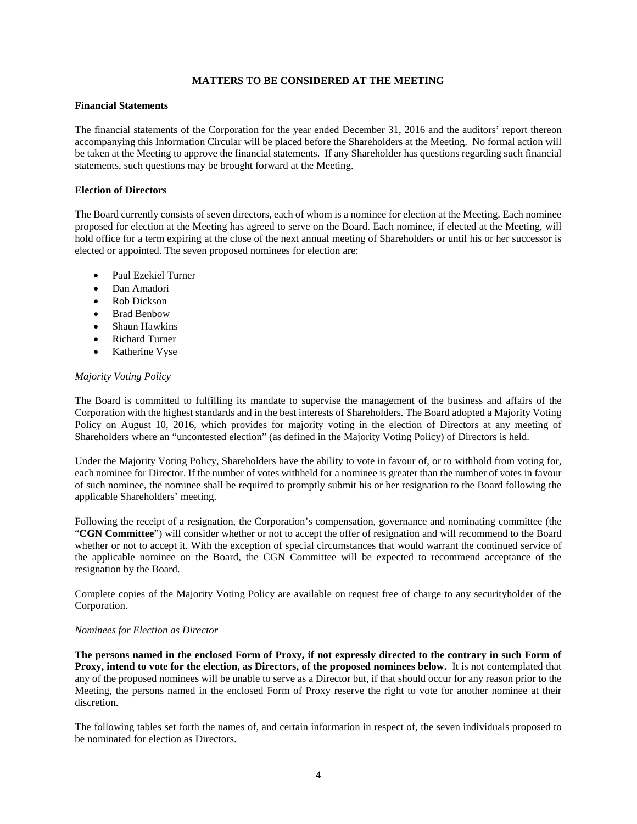### **MATTERS TO BE CONSIDERED AT THE MEETING**

#### <span id="page-7-1"></span><span id="page-7-0"></span>**Financial Statements**

The financial statements of the Corporation for the year ended December 31, 2016 and the auditors' report thereon accompanying this Information Circular will be placed before the Shareholders at the Meeting. No formal action will be taken at the Meeting to approve the financial statements. If any Shareholder has questions regarding such financial statements, such questions may be brought forward at the Meeting.

#### <span id="page-7-2"></span>**Election of Directors**

The Board currently consists of seven directors, each of whom is a nominee for election at the Meeting. Each nominee proposed for election at the Meeting has agreed to serve on the Board. Each nominee, if elected at the Meeting, will hold office for a term expiring at the close of the next annual meeting of Shareholders or until his or her successor is elected or appointed. The seven proposed nominees for election are:

- Paul Ezekiel Turner
- Dan Amadori
- Rob Dickson
- Brad Benbow
- Shaun Hawkins
- Richard Turner
- Katherine Vyse

#### *Majority Voting Policy*

The Board is committed to fulfilling its mandate to supervise the management of the business and affairs of the Corporation with the highest standards and in the best interests of Shareholders. The Board adopted a Majority Voting Policy on August 10, 2016, which provides for majority voting in the election of Directors at any meeting of Shareholders where an "uncontested election" (as defined in the Majority Voting Policy) of Directors is held.

Under the Majority Voting Policy, Shareholders have the ability to vote in favour of, or to withhold from voting for, each nominee for Director. If the number of votes withheld for a nominee is greater than the number of votes in favour of such nominee, the nominee shall be required to promptly submit his or her resignation to the Board following the applicable Shareholders' meeting.

Following the receipt of a resignation, the Corporation's compensation, governance and nominating committee (the "**CGN Committee**") will consider whether or not to accept the offer of resignation and will recommend to the Board whether or not to accept it. With the exception of special circumstances that would warrant the continued service of the applicable nominee on the Board, the CGN Committee will be expected to recommend acceptance of the resignation by the Board.

Complete copies of the Majority Voting Policy are available on request free of charge to any securityholder of the Corporation.

#### *Nominees for Election as Director*

**The persons named in the enclosed Form of Proxy, if not expressly directed to the contrary in such Form of Proxy, intend to vote for the election, as Directors, of the proposed nominees below.** It is not contemplated that any of the proposed nominees will be unable to serve as a Director but, if that should occur for any reason prior to the Meeting, the persons named in the enclosed Form of Proxy reserve the right to vote for another nominee at their discretion.

The following tables set forth the names of, and certain information in respect of, the seven individuals proposed to be nominated for election as Directors.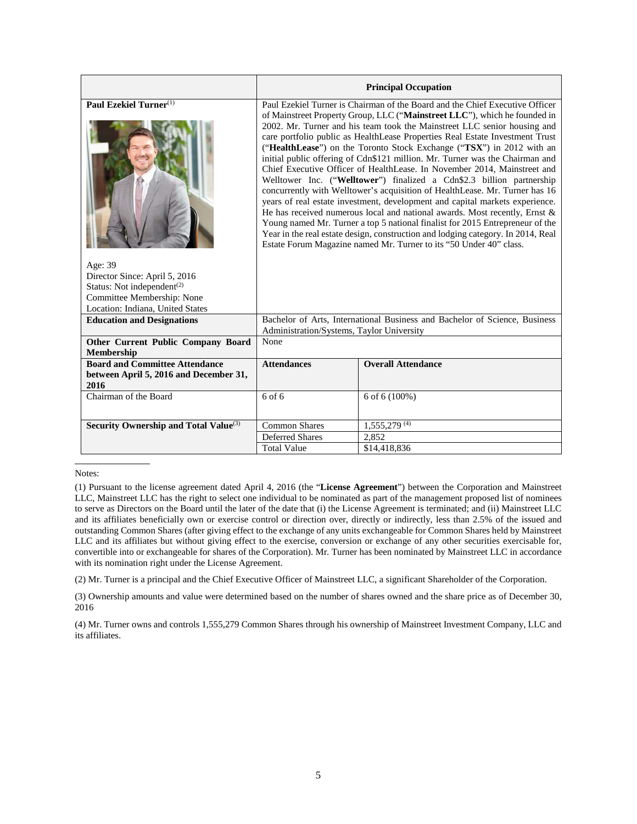|                                                                                         |                                                                                                                                                                                                                                                                                                                                                                                                                                                                                                                                                                                                                                                                                                                                                                                                                                                                                                                                                                                                                                                                                                                                | <b>Principal Occupation</b>                                                |  |  |  |
|-----------------------------------------------------------------------------------------|--------------------------------------------------------------------------------------------------------------------------------------------------------------------------------------------------------------------------------------------------------------------------------------------------------------------------------------------------------------------------------------------------------------------------------------------------------------------------------------------------------------------------------------------------------------------------------------------------------------------------------------------------------------------------------------------------------------------------------------------------------------------------------------------------------------------------------------------------------------------------------------------------------------------------------------------------------------------------------------------------------------------------------------------------------------------------------------------------------------------------------|----------------------------------------------------------------------------|--|--|--|
| Paul Ezekiel Turner <sup>(1)</sup>                                                      | Paul Ezekiel Turner is Chairman of the Board and the Chief Executive Officer<br>of Mainstreet Property Group, LLC ("Mainstreet LLC"), which he founded in<br>2002. Mr. Turner and his team took the Mainstreet LLC senior housing and<br>care portfolio public as HealthLease Properties Real Estate Investment Trust<br>("HealthLease") on the Toronto Stock Exchange ("TSX") in 2012 with an<br>initial public offering of Cdn\$121 million. Mr. Turner was the Chairman and<br>Chief Executive Officer of HealthLease. In November 2014, Mainstreet and<br>Welltower Inc. ("Welltower") finalized a Cdn\$2.3 billion partnership<br>concurrently with Welltower's acquisition of HealthLease. Mr. Turner has 16<br>years of real estate investment, development and capital markets experience.<br>He has received numerous local and national awards. Most recently, Ernst $\&$<br>Young named Mr. Turner a top 5 national finalist for 2015 Entrepreneur of the<br>Year in the real estate design, construction and lodging category. In 2014, Real<br>Estate Forum Magazine named Mr. Turner to its "50 Under 40" class. |                                                                            |  |  |  |
| Age: 39                                                                                 |                                                                                                                                                                                                                                                                                                                                                                                                                                                                                                                                                                                                                                                                                                                                                                                                                                                                                                                                                                                                                                                                                                                                |                                                                            |  |  |  |
| Director Since: April 5, 2016                                                           |                                                                                                                                                                                                                                                                                                                                                                                                                                                                                                                                                                                                                                                                                                                                                                                                                                                                                                                                                                                                                                                                                                                                |                                                                            |  |  |  |
| Status: Not independent <sup>(2)</sup><br>Committee Membership: None                    |                                                                                                                                                                                                                                                                                                                                                                                                                                                                                                                                                                                                                                                                                                                                                                                                                                                                                                                                                                                                                                                                                                                                |                                                                            |  |  |  |
| Location: Indiana, United States                                                        |                                                                                                                                                                                                                                                                                                                                                                                                                                                                                                                                                                                                                                                                                                                                                                                                                                                                                                                                                                                                                                                                                                                                |                                                                            |  |  |  |
| <b>Education and Designations</b>                                                       |                                                                                                                                                                                                                                                                                                                                                                                                                                                                                                                                                                                                                                                                                                                                                                                                                                                                                                                                                                                                                                                                                                                                | Bachelor of Arts, International Business and Bachelor of Science, Business |  |  |  |
|                                                                                         | Administration/Systems, Taylor University                                                                                                                                                                                                                                                                                                                                                                                                                                                                                                                                                                                                                                                                                                                                                                                                                                                                                                                                                                                                                                                                                      |                                                                            |  |  |  |
| <b>Other Current Public Company Board</b><br>Membership                                 | None                                                                                                                                                                                                                                                                                                                                                                                                                                                                                                                                                                                                                                                                                                                                                                                                                                                                                                                                                                                                                                                                                                                           |                                                                            |  |  |  |
| <b>Board and Committee Attendance</b><br>between April 5, 2016 and December 31,<br>2016 | <b>Attendances</b><br><b>Overall Attendance</b>                                                                                                                                                                                                                                                                                                                                                                                                                                                                                                                                                                                                                                                                                                                                                                                                                                                                                                                                                                                                                                                                                |                                                                            |  |  |  |
| Chairman of the Board                                                                   | $6$ of $6$                                                                                                                                                                                                                                                                                                                                                                                                                                                                                                                                                                                                                                                                                                                                                                                                                                                                                                                                                                                                                                                                                                                     | 6 of 6 (100%)                                                              |  |  |  |
| Security Ownership and Total Value <sup>(3)</sup>                                       | $1,555,279$ <sup>(4)</sup><br><b>Common Shares</b>                                                                                                                                                                                                                                                                                                                                                                                                                                                                                                                                                                                                                                                                                                                                                                                                                                                                                                                                                                                                                                                                             |                                                                            |  |  |  |
|                                                                                         | <b>Deferred Shares</b><br>2.852                                                                                                                                                                                                                                                                                                                                                                                                                                                                                                                                                                                                                                                                                                                                                                                                                                                                                                                                                                                                                                                                                                |                                                                            |  |  |  |
|                                                                                         | <b>Total Value</b><br>\$14,418,836                                                                                                                                                                                                                                                                                                                                                                                                                                                                                                                                                                                                                                                                                                                                                                                                                                                                                                                                                                                                                                                                                             |                                                                            |  |  |  |

(1) Pursuant to the license agreement dated April 4, 2016 (the "**License Agreement**") between the Corporation and Mainstreet LLC, Mainstreet LLC has the right to select one individual to be nominated as part of the management proposed list of nominees to serve as Directors on the Board until the later of the date that (i) the License Agreement is terminated; and (ii) Mainstreet LLC and its affiliates beneficially own or exercise control or direction over, directly or indirectly, less than 2.5% of the issued and outstanding Common Shares (after giving effect to the exchange of any units exchangeable for Common Shares held by Mainstreet LLC and its affiliates but without giving effect to the exercise, conversion or exchange of any other securities exercisable for, convertible into or exchangeable for shares of the Corporation). Mr. Turner has been nominated by Mainstreet LLC in accordance with its nomination right under the License Agreement.

(2) Mr. Turner is a principal and the Chief Executive Officer of Mainstreet LLC, a significant Shareholder of the Corporation.

(3) Ownership amounts and value were determined based on the number of shares owned and the share price as of December 30, 2016

(4) Mr. Turner owns and controls 1,555,279 Common Shares through his ownership of Mainstreet Investment Company, LLC and its affiliates.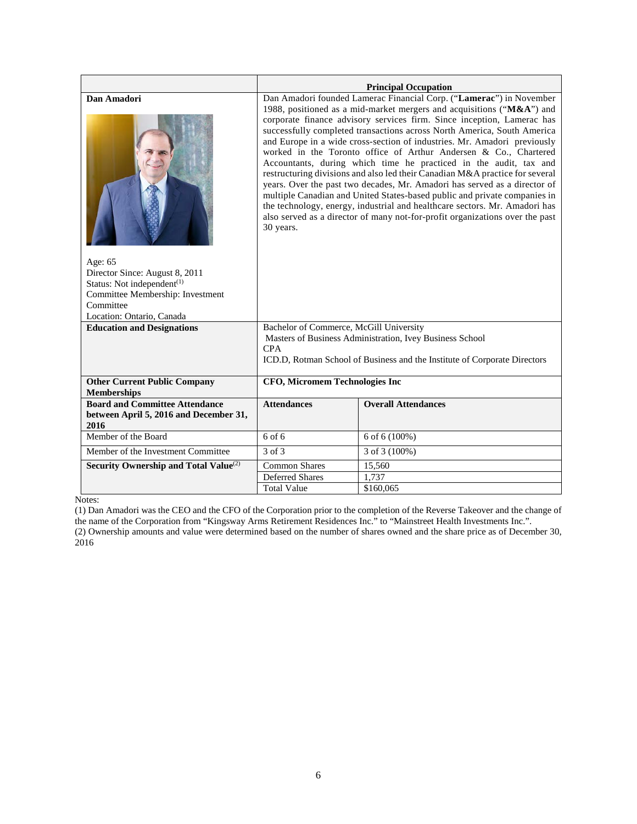|                                                                                                                                                                                  |                                                                                                                                                                                                                                                                                                                                                                                                                                                                                                                                                                                                                                                                                                                                                                                                                                                                                                                                             | <b>Principal Occupation</b> |  |  |
|----------------------------------------------------------------------------------------------------------------------------------------------------------------------------------|---------------------------------------------------------------------------------------------------------------------------------------------------------------------------------------------------------------------------------------------------------------------------------------------------------------------------------------------------------------------------------------------------------------------------------------------------------------------------------------------------------------------------------------------------------------------------------------------------------------------------------------------------------------------------------------------------------------------------------------------------------------------------------------------------------------------------------------------------------------------------------------------------------------------------------------------|-----------------------------|--|--|
| Dan Amadori<br>Age: 65<br>Director Since: August 8, 2011<br>Status: Not independent <sup>(1)</sup><br>Committee Membership: Investment<br>Committee<br>Location: Ontario, Canada | Dan Amadori founded Lamerac Financial Corp. ("Lamerac") in November<br>1988, positioned as a mid-market mergers and acquisitions ("M&A") and<br>corporate finance advisory services firm. Since inception, Lamerac has<br>successfully completed transactions across North America, South America<br>and Europe in a wide cross-section of industries. Mr. Amadori previously<br>worked in the Toronto office of Arthur Andersen & Co., Chartered<br>Accountants, during which time he practiced in the audit, tax and<br>restructuring divisions and also led their Canadian M&A practice for several<br>years. Over the past two decades, Mr. Amadori has served as a director of<br>multiple Canadian and United States-based public and private companies in<br>the technology, energy, industrial and healthcare sectors. Mr. Amadori has<br>also served as a director of many not-for-profit organizations over the past<br>30 years. |                             |  |  |
| <b>Education and Designations</b>                                                                                                                                                | Bachelor of Commerce, McGill University                                                                                                                                                                                                                                                                                                                                                                                                                                                                                                                                                                                                                                                                                                                                                                                                                                                                                                     |                             |  |  |
|                                                                                                                                                                                  | Masters of Business Administration, Ivey Business School<br><b>CPA</b>                                                                                                                                                                                                                                                                                                                                                                                                                                                                                                                                                                                                                                                                                                                                                                                                                                                                      |                             |  |  |
|                                                                                                                                                                                  | ICD.D, Rotman School of Business and the Institute of Corporate Directors                                                                                                                                                                                                                                                                                                                                                                                                                                                                                                                                                                                                                                                                                                                                                                                                                                                                   |                             |  |  |
| <b>Other Current Public Company</b><br><b>Memberships</b>                                                                                                                        | <b>CFO, Micromem Technologies Inc</b>                                                                                                                                                                                                                                                                                                                                                                                                                                                                                                                                                                                                                                                                                                                                                                                                                                                                                                       |                             |  |  |
| <b>Board and Committee Attendance</b>                                                                                                                                            | <b>Attendances</b>                                                                                                                                                                                                                                                                                                                                                                                                                                                                                                                                                                                                                                                                                                                                                                                                                                                                                                                          | <b>Overall Attendances</b>  |  |  |
| between April 5, 2016 and December 31,<br>2016                                                                                                                                   |                                                                                                                                                                                                                                                                                                                                                                                                                                                                                                                                                                                                                                                                                                                                                                                                                                                                                                                                             |                             |  |  |
| Member of the Board                                                                                                                                                              | $6$ of $6$                                                                                                                                                                                                                                                                                                                                                                                                                                                                                                                                                                                                                                                                                                                                                                                                                                                                                                                                  | $6$ of $6(100%)$            |  |  |
| Member of the Investment Committee                                                                                                                                               | 3 of 3                                                                                                                                                                                                                                                                                                                                                                                                                                                                                                                                                                                                                                                                                                                                                                                                                                                                                                                                      | 3 of 3 (100%)               |  |  |
| Security Ownership and Total Value <sup>(2)</sup>                                                                                                                                | <b>Common Shares</b>                                                                                                                                                                                                                                                                                                                                                                                                                                                                                                                                                                                                                                                                                                                                                                                                                                                                                                                        | 15,560                      |  |  |
|                                                                                                                                                                                  | <b>Deferred Shares</b>                                                                                                                                                                                                                                                                                                                                                                                                                                                                                                                                                                                                                                                                                                                                                                                                                                                                                                                      | 1,737                       |  |  |
|                                                                                                                                                                                  | <b>Total Value</b><br>\$160,065                                                                                                                                                                                                                                                                                                                                                                                                                                                                                                                                                                                                                                                                                                                                                                                                                                                                                                             |                             |  |  |

(1) Dan Amadori was the CEO and the CFO of the Corporation prior to the completion of the Reverse Takeover and the change of the name of the Corporation from "Kingsway Arms Retirement Residences Inc." to "Mainstreet Health Investments Inc.". (2) Ownership amounts and value were determined based on the number of shares owned and the share price as of December 30,

2016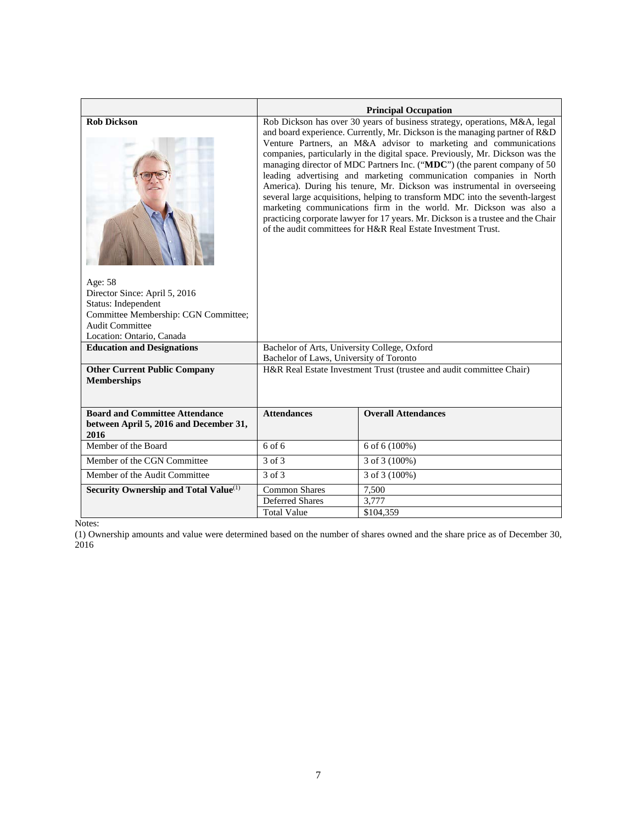|                                                                                         |                                                                                                                                                                                                                                                                                                                                                                                                                                                                                                                                                                                                                                                                                                                                                                                                                                                         | <b>Principal Occupation</b>                                          |  |  |  |
|-----------------------------------------------------------------------------------------|---------------------------------------------------------------------------------------------------------------------------------------------------------------------------------------------------------------------------------------------------------------------------------------------------------------------------------------------------------------------------------------------------------------------------------------------------------------------------------------------------------------------------------------------------------------------------------------------------------------------------------------------------------------------------------------------------------------------------------------------------------------------------------------------------------------------------------------------------------|----------------------------------------------------------------------|--|--|--|
| <b>Rob Dickson</b>                                                                      | Rob Dickson has over 30 years of business strategy, operations, M&A, legal<br>and board experience. Currently, Mr. Dickson is the managing partner of R&D<br>Venture Partners, an M&A advisor to marketing and communications<br>companies, particularly in the digital space. Previously, Mr. Dickson was the<br>managing director of MDC Partners Inc. ("MDC") (the parent company of 50<br>leading advertising and marketing communication companies in North<br>America). During his tenure, Mr. Dickson was instrumental in overseeing<br>several large acquisitions, helping to transform MDC into the seventh-largest<br>marketing communications firm in the world. Mr. Dickson was also a<br>practicing corporate lawyer for 17 years. Mr. Dickson is a trustee and the Chair<br>of the audit committees for H&R Real Estate Investment Trust. |                                                                      |  |  |  |
| Age: 58                                                                                 |                                                                                                                                                                                                                                                                                                                                                                                                                                                                                                                                                                                                                                                                                                                                                                                                                                                         |                                                                      |  |  |  |
| Director Since: April 5, 2016                                                           |                                                                                                                                                                                                                                                                                                                                                                                                                                                                                                                                                                                                                                                                                                                                                                                                                                                         |                                                                      |  |  |  |
| Status: Independent<br>Committee Membership: CGN Committee;                             |                                                                                                                                                                                                                                                                                                                                                                                                                                                                                                                                                                                                                                                                                                                                                                                                                                                         |                                                                      |  |  |  |
| <b>Audit Committee</b>                                                                  |                                                                                                                                                                                                                                                                                                                                                                                                                                                                                                                                                                                                                                                                                                                                                                                                                                                         |                                                                      |  |  |  |
| Location: Ontario, Canada                                                               |                                                                                                                                                                                                                                                                                                                                                                                                                                                                                                                                                                                                                                                                                                                                                                                                                                                         |                                                                      |  |  |  |
| <b>Education and Designations</b>                                                       | Bachelor of Arts, University College, Oxford                                                                                                                                                                                                                                                                                                                                                                                                                                                                                                                                                                                                                                                                                                                                                                                                            |                                                                      |  |  |  |
|                                                                                         | Bachelor of Laws, University of Toronto                                                                                                                                                                                                                                                                                                                                                                                                                                                                                                                                                                                                                                                                                                                                                                                                                 |                                                                      |  |  |  |
| <b>Other Current Public Company</b><br><b>Memberships</b>                               |                                                                                                                                                                                                                                                                                                                                                                                                                                                                                                                                                                                                                                                                                                                                                                                                                                                         | H&R Real Estate Investment Trust (trustee and audit committee Chair) |  |  |  |
| <b>Board and Committee Attendance</b><br>between April 5, 2016 and December 31,<br>2016 | <b>Attendances</b>                                                                                                                                                                                                                                                                                                                                                                                                                                                                                                                                                                                                                                                                                                                                                                                                                                      | <b>Overall Attendances</b>                                           |  |  |  |
| Member of the Board                                                                     | $6$ of $6$                                                                                                                                                                                                                                                                                                                                                                                                                                                                                                                                                                                                                                                                                                                                                                                                                                              | 6 of 6 (100%)                                                        |  |  |  |
| Member of the CGN Committee                                                             | 3 of 3                                                                                                                                                                                                                                                                                                                                                                                                                                                                                                                                                                                                                                                                                                                                                                                                                                                  | 3 of 3 (100%)                                                        |  |  |  |
| Member of the Audit Committee                                                           | 3 of 3<br>3 of 3 (100%)                                                                                                                                                                                                                                                                                                                                                                                                                                                                                                                                                                                                                                                                                                                                                                                                                                 |                                                                      |  |  |  |
|                                                                                         |                                                                                                                                                                                                                                                                                                                                                                                                                                                                                                                                                                                                                                                                                                                                                                                                                                                         |                                                                      |  |  |  |
| Security Ownership and Total Value <sup>(1)</sup>                                       | <b>Common Shares</b><br>7,500<br><b>Deferred Shares</b><br>3,777                                                                                                                                                                                                                                                                                                                                                                                                                                                                                                                                                                                                                                                                                                                                                                                        |                                                                      |  |  |  |
|                                                                                         | <b>Total Value</b><br>\$104.359                                                                                                                                                                                                                                                                                                                                                                                                                                                                                                                                                                                                                                                                                                                                                                                                                         |                                                                      |  |  |  |
|                                                                                         |                                                                                                                                                                                                                                                                                                                                                                                                                                                                                                                                                                                                                                                                                                                                                                                                                                                         |                                                                      |  |  |  |

(1) Ownership amounts and value were determined based on the number of shares owned and the share price as of December 30, 2016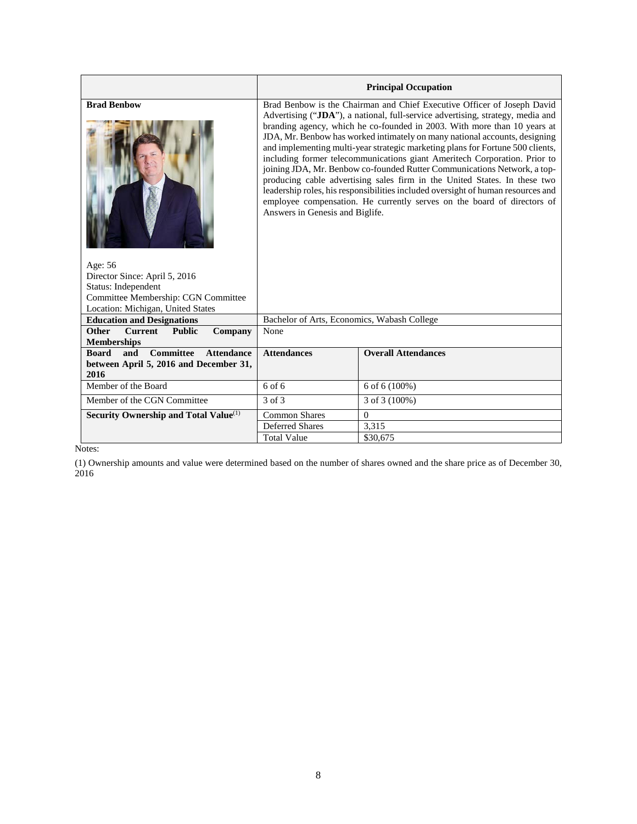|                                                                                                                                                                   |                                                                                                                                                                                                                                                                                                                                                                                                                                                                                                                                                                                                                                                                                                                                                                                                                                               | <b>Principal Occupation</b> |
|-------------------------------------------------------------------------------------------------------------------------------------------------------------------|-----------------------------------------------------------------------------------------------------------------------------------------------------------------------------------------------------------------------------------------------------------------------------------------------------------------------------------------------------------------------------------------------------------------------------------------------------------------------------------------------------------------------------------------------------------------------------------------------------------------------------------------------------------------------------------------------------------------------------------------------------------------------------------------------------------------------------------------------|-----------------------------|
| <b>Brad Benbow</b><br>Age: 56<br>Director Since: April 5, 2016<br>Status: Independent<br>Committee Membership: CGN Committee<br>Location: Michigan, United States | Brad Benbow is the Chairman and Chief Executive Officer of Joseph David<br>Advertising ("JDA"), a national, full-service advertising, strategy, media and<br>branding agency, which he co-founded in 2003. With more than 10 years at<br>JDA, Mr. Benbow has worked intimately on many national accounts, designing<br>and implementing multi-year strategic marketing plans for Fortune 500 clients,<br>including former telecommunications giant Ameritech Corporation. Prior to<br>joining JDA, Mr. Benbow co-founded Rutter Communications Network, a top-<br>producing cable advertising sales firm in the United States. In these two<br>leadership roles, his responsibilities included oversight of human resources and<br>employee compensation. He currently serves on the board of directors of<br>Answers in Genesis and Biglife. |                             |
| <b>Education and Designations</b>                                                                                                                                 | Bachelor of Arts, Economics, Wabash College                                                                                                                                                                                                                                                                                                                                                                                                                                                                                                                                                                                                                                                                                                                                                                                                   |                             |
| <b>Current</b><br><b>Other</b><br><b>Public</b><br>Company<br><b>Memberships</b>                                                                                  | None                                                                                                                                                                                                                                                                                                                                                                                                                                                                                                                                                                                                                                                                                                                                                                                                                                          |                             |
| <b>Committee</b><br><b>Board</b><br><b>Attendance</b><br>and<br>between April 5, 2016 and December 31,<br>2016                                                    | <b>Attendances</b>                                                                                                                                                                                                                                                                                                                                                                                                                                                                                                                                                                                                                                                                                                                                                                                                                            | <b>Overall Attendances</b>  |
| Member of the Board                                                                                                                                               | 6 of 6                                                                                                                                                                                                                                                                                                                                                                                                                                                                                                                                                                                                                                                                                                                                                                                                                                        | 6 of 6 (100%)               |
| Member of the CGN Committee                                                                                                                                       | 3 of 3                                                                                                                                                                                                                                                                                                                                                                                                                                                                                                                                                                                                                                                                                                                                                                                                                                        | 3 of 3 (100%)               |
| Security Ownership and Total Value <sup>(1)</sup>                                                                                                                 | <b>Common Shares</b>                                                                                                                                                                                                                                                                                                                                                                                                                                                                                                                                                                                                                                                                                                                                                                                                                          | $\Omega$                    |
|                                                                                                                                                                   | Deferred Shares                                                                                                                                                                                                                                                                                                                                                                                                                                                                                                                                                                                                                                                                                                                                                                                                                               | 3,315                       |
|                                                                                                                                                                   | <b>Total Value</b>                                                                                                                                                                                                                                                                                                                                                                                                                                                                                                                                                                                                                                                                                                                                                                                                                            | \$30,675                    |

(1) Ownership amounts and value were determined based on the number of shares owned and the share price as of December 30, 2016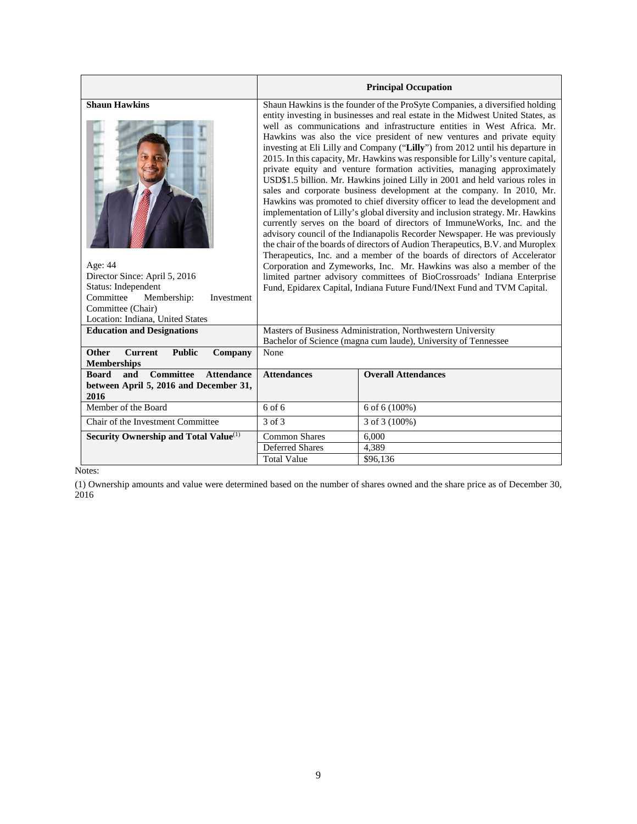|                                                              |                                                                                                                                                                                                                                                                                                                                                                                                                                                                                                                                                                                                                                                                                                                                                                                                                                                                                                                                                                                                                                                                                                                                                                                                                       | <b>Principal Occupation</b>                                                                                                                         |  |
|--------------------------------------------------------------|-----------------------------------------------------------------------------------------------------------------------------------------------------------------------------------------------------------------------------------------------------------------------------------------------------------------------------------------------------------------------------------------------------------------------------------------------------------------------------------------------------------------------------------------------------------------------------------------------------------------------------------------------------------------------------------------------------------------------------------------------------------------------------------------------------------------------------------------------------------------------------------------------------------------------------------------------------------------------------------------------------------------------------------------------------------------------------------------------------------------------------------------------------------------------------------------------------------------------|-----------------------------------------------------------------------------------------------------------------------------------------------------|--|
| <b>Shaun Hawkins</b>                                         | Shaun Hawkins is the founder of the ProSyte Companies, a diversified holding<br>entity investing in businesses and real estate in the Midwest United States, as<br>well as communications and infrastructure entities in West Africa. Mr.<br>Hawkins was also the vice president of new ventures and private equity<br>investing at Eli Lilly and Company ("Lilly") from 2012 until his departure in<br>2015. In this capacity, Mr. Hawkins was responsible for Lilly's venture capital,<br>private equity and venture formation activities, managing approximately<br>USD\$1.5 billion. Mr. Hawkins joined Lilly in 2001 and held various roles in<br>sales and corporate business development at the company. In 2010, Mr.<br>Hawkins was promoted to chief diversity officer to lead the development and<br>implementation of Lilly's global diversity and inclusion strategy. Mr. Hawkins<br>currently serves on the board of directors of ImmuneWorks, Inc. and the<br>advisory council of the Indianapolis Recorder Newspaper. He was previously<br>the chair of the boards of directors of Audion Therapeutics, B.V. and Muroplex<br>Therapeutics, Inc. and a member of the boards of directors of Accelerator |                                                                                                                                                     |  |
| Age: 44                                                      |                                                                                                                                                                                                                                                                                                                                                                                                                                                                                                                                                                                                                                                                                                                                                                                                                                                                                                                                                                                                                                                                                                                                                                                                                       | Corporation and Zymeworks, Inc. Mr. Hawkins was also a member of the                                                                                |  |
| Director Since: April 5, 2016<br>Status: Independent         |                                                                                                                                                                                                                                                                                                                                                                                                                                                                                                                                                                                                                                                                                                                                                                                                                                                                                                                                                                                                                                                                                                                                                                                                                       | limited partner advisory committees of BioCrossroads' Indiana Enterprise<br>Fund, Epidarex Capital, Indiana Future Fund/INext Fund and TVM Capital. |  |
| Committee<br>Membership:<br>Investment                       |                                                                                                                                                                                                                                                                                                                                                                                                                                                                                                                                                                                                                                                                                                                                                                                                                                                                                                                                                                                                                                                                                                                                                                                                                       |                                                                                                                                                     |  |
| Committee (Chair)                                            |                                                                                                                                                                                                                                                                                                                                                                                                                                                                                                                                                                                                                                                                                                                                                                                                                                                                                                                                                                                                                                                                                                                                                                                                                       |                                                                                                                                                     |  |
| Location: Indiana, United States                             |                                                                                                                                                                                                                                                                                                                                                                                                                                                                                                                                                                                                                                                                                                                                                                                                                                                                                                                                                                                                                                                                                                                                                                                                                       |                                                                                                                                                     |  |
| <b>Education and Designations</b>                            | Masters of Business Administration, Northwestern University                                                                                                                                                                                                                                                                                                                                                                                                                                                                                                                                                                                                                                                                                                                                                                                                                                                                                                                                                                                                                                                                                                                                                           |                                                                                                                                                     |  |
|                                                              |                                                                                                                                                                                                                                                                                                                                                                                                                                                                                                                                                                                                                                                                                                                                                                                                                                                                                                                                                                                                                                                                                                                                                                                                                       | Bachelor of Science (magna cum laude), University of Tennessee                                                                                      |  |
| <b>Current</b><br><b>Other</b><br><b>Public</b><br>Company   | None                                                                                                                                                                                                                                                                                                                                                                                                                                                                                                                                                                                                                                                                                                                                                                                                                                                                                                                                                                                                                                                                                                                                                                                                                  |                                                                                                                                                     |  |
| <b>Memberships</b>                                           |                                                                                                                                                                                                                                                                                                                                                                                                                                                                                                                                                                                                                                                                                                                                                                                                                                                                                                                                                                                                                                                                                                                                                                                                                       |                                                                                                                                                     |  |
| <b>Committee</b><br><b>Board</b><br>and<br><b>Attendance</b> | <b>Attendances</b>                                                                                                                                                                                                                                                                                                                                                                                                                                                                                                                                                                                                                                                                                                                                                                                                                                                                                                                                                                                                                                                                                                                                                                                                    | <b>Overall Attendances</b>                                                                                                                          |  |
| between April 5, 2016 and December 31,                       |                                                                                                                                                                                                                                                                                                                                                                                                                                                                                                                                                                                                                                                                                                                                                                                                                                                                                                                                                                                                                                                                                                                                                                                                                       |                                                                                                                                                     |  |
| 2016<br>Member of the Board                                  | $6$ of $6$                                                                                                                                                                                                                                                                                                                                                                                                                                                                                                                                                                                                                                                                                                                                                                                                                                                                                                                                                                                                                                                                                                                                                                                                            | 6 of 6 (100%)                                                                                                                                       |  |
|                                                              |                                                                                                                                                                                                                                                                                                                                                                                                                                                                                                                                                                                                                                                                                                                                                                                                                                                                                                                                                                                                                                                                                                                                                                                                                       |                                                                                                                                                     |  |
| Chair of the Investment Committee                            | 3 of 3                                                                                                                                                                                                                                                                                                                                                                                                                                                                                                                                                                                                                                                                                                                                                                                                                                                                                                                                                                                                                                                                                                                                                                                                                | 3 of 3 (100%)                                                                                                                                       |  |
| Security Ownership and Total Value <sup>(1)</sup>            | <b>Common Shares</b>                                                                                                                                                                                                                                                                                                                                                                                                                                                                                                                                                                                                                                                                                                                                                                                                                                                                                                                                                                                                                                                                                                                                                                                                  | 6,000                                                                                                                                               |  |
|                                                              | <b>Deferred Shares</b>                                                                                                                                                                                                                                                                                                                                                                                                                                                                                                                                                                                                                                                                                                                                                                                                                                                                                                                                                                                                                                                                                                                                                                                                | 4,389                                                                                                                                               |  |
|                                                              | <b>Total Value</b>                                                                                                                                                                                                                                                                                                                                                                                                                                                                                                                                                                                                                                                                                                                                                                                                                                                                                                                                                                                                                                                                                                                                                                                                    | \$96.136                                                                                                                                            |  |

(1) Ownership amounts and value were determined based on the number of shares owned and the share price as of December 30, 2016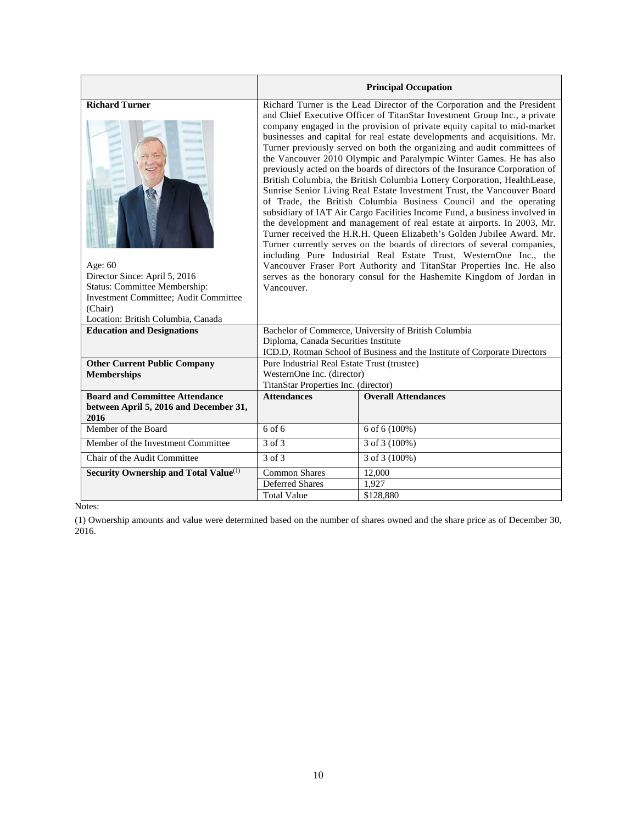|                                                                                                                                                                                                               |                                                                                                                                                                                                                                                                                                                                                                                                                                                                                                                                                                                                                                                                                                                                                                                                                                                                                                                                                                                                                                                                                                                                                                                                                                                                                                                                | <b>Principal Occupation</b> |  |  |
|---------------------------------------------------------------------------------------------------------------------------------------------------------------------------------------------------------------|--------------------------------------------------------------------------------------------------------------------------------------------------------------------------------------------------------------------------------------------------------------------------------------------------------------------------------------------------------------------------------------------------------------------------------------------------------------------------------------------------------------------------------------------------------------------------------------------------------------------------------------------------------------------------------------------------------------------------------------------------------------------------------------------------------------------------------------------------------------------------------------------------------------------------------------------------------------------------------------------------------------------------------------------------------------------------------------------------------------------------------------------------------------------------------------------------------------------------------------------------------------------------------------------------------------------------------|-----------------------------|--|--|
| <b>Richard Turner</b><br>Age: $60$<br>Director Since: April 5, 2016<br><b>Status: Committee Membership:</b><br><b>Investment Committee</b> ; Audit Committee<br>(Chair)<br>Location: British Columbia, Canada | Richard Turner is the Lead Director of the Corporation and the President<br>and Chief Executive Officer of TitanStar Investment Group Inc., a private<br>company engaged in the provision of private equity capital to mid-market<br>businesses and capital for real estate developments and acquisitions. Mr.<br>Turner previously served on both the organizing and audit committees of<br>the Vancouver 2010 Olympic and Paralympic Winter Games. He has also<br>previously acted on the boards of directors of the Insurance Corporation of<br>British Columbia, the British Columbia Lottery Corporation, HealthLease,<br>Sunrise Senior Living Real Estate Investment Trust, the Vancouver Board<br>of Trade, the British Columbia Business Council and the operating<br>subsidiary of IAT Air Cargo Facilities Income Fund, a business involved in<br>the development and management of real estate at airports. In 2003, Mr.<br>Turner received the H.R.H. Queen Elizabeth's Golden Jubilee Award. Mr.<br>Turner currently serves on the boards of directors of several companies,<br>including Pure Industrial Real Estate Trust, WesternOne Inc., the<br>Vancouver Fraser Port Authority and TitanStar Properties Inc. He also<br>serves as the honorary consul for the Hashemite Kingdom of Jordan in<br>Vancouver. |                             |  |  |
| <b>Education and Designations</b>                                                                                                                                                                             | Bachelor of Commerce, University of British Columbia<br>Diploma, Canada Securities Institute<br>ICD.D, Rotman School of Business and the Institute of Corporate Directors                                                                                                                                                                                                                                                                                                                                                                                                                                                                                                                                                                                                                                                                                                                                                                                                                                                                                                                                                                                                                                                                                                                                                      |                             |  |  |
| <b>Other Current Public Company</b><br><b>Memberships</b>                                                                                                                                                     | Pure Industrial Real Estate Trust (trustee)<br>WesternOne Inc. (director)<br>TitanStar Properties Inc. (director)                                                                                                                                                                                                                                                                                                                                                                                                                                                                                                                                                                                                                                                                                                                                                                                                                                                                                                                                                                                                                                                                                                                                                                                                              |                             |  |  |
| <b>Board and Committee Attendance</b><br>between April 5, 2016 and December 31,<br>2016                                                                                                                       | <b>Overall Attendances</b><br><b>Attendances</b>                                                                                                                                                                                                                                                                                                                                                                                                                                                                                                                                                                                                                                                                                                                                                                                                                                                                                                                                                                                                                                                                                                                                                                                                                                                                               |                             |  |  |
| Member of the Board                                                                                                                                                                                           | $6$ of $6$                                                                                                                                                                                                                                                                                                                                                                                                                                                                                                                                                                                                                                                                                                                                                                                                                                                                                                                                                                                                                                                                                                                                                                                                                                                                                                                     | 6 of 6 (100%)               |  |  |
| Member of the Investment Committee                                                                                                                                                                            | $3$ of $3$<br>3 of 3 (100%)                                                                                                                                                                                                                                                                                                                                                                                                                                                                                                                                                                                                                                                                                                                                                                                                                                                                                                                                                                                                                                                                                                                                                                                                                                                                                                    |                             |  |  |
| Chair of the Audit Committee                                                                                                                                                                                  | 3 of 3<br>$3$ of $3(100\%)$                                                                                                                                                                                                                                                                                                                                                                                                                                                                                                                                                                                                                                                                                                                                                                                                                                                                                                                                                                                                                                                                                                                                                                                                                                                                                                    |                             |  |  |
| Security Ownership and Total Value <sup>(1)</sup>                                                                                                                                                             | <b>Common Shares</b><br>12,000                                                                                                                                                                                                                                                                                                                                                                                                                                                                                                                                                                                                                                                                                                                                                                                                                                                                                                                                                                                                                                                                                                                                                                                                                                                                                                 |                             |  |  |
|                                                                                                                                                                                                               | <b>Deferred Shares</b><br>1,927                                                                                                                                                                                                                                                                                                                                                                                                                                                                                                                                                                                                                                                                                                                                                                                                                                                                                                                                                                                                                                                                                                                                                                                                                                                                                                |                             |  |  |
|                                                                                                                                                                                                               | <b>Total Value</b>                                                                                                                                                                                                                                                                                                                                                                                                                                                                                                                                                                                                                                                                                                                                                                                                                                                                                                                                                                                                                                                                                                                                                                                                                                                                                                             | \$128,880                   |  |  |

(1) Ownership amounts and value were determined based on the number of shares owned and the share price as of December 30, 2016.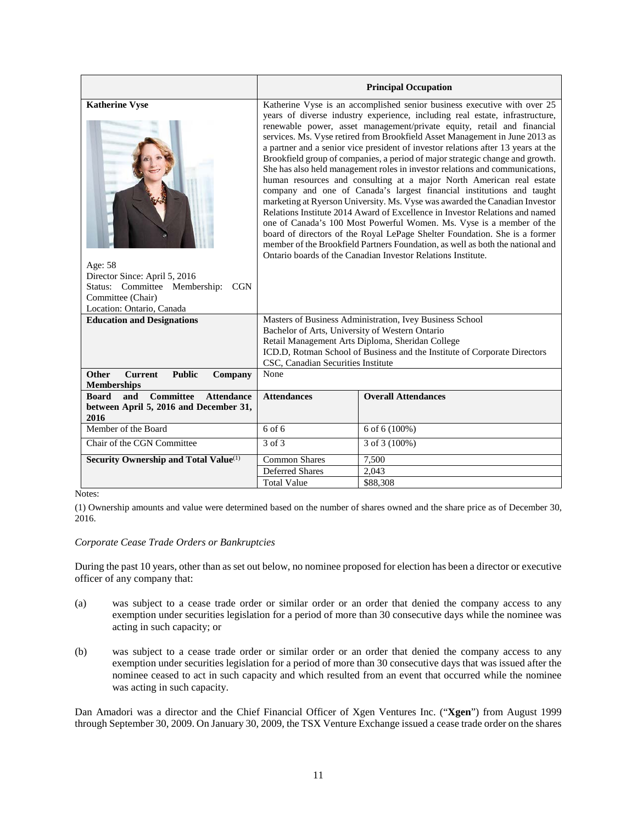|                                                                                                                                                                    |                                                                                                                                                                                                                                                                                                                                                                                                                                                                                                                                                                                                                                                                                                                                                                                                                                                                                                                                                                                                                                                                                                                                                                                                 | <b>Principal Occupation</b>                                                                                                   |  |  |
|--------------------------------------------------------------------------------------------------------------------------------------------------------------------|-------------------------------------------------------------------------------------------------------------------------------------------------------------------------------------------------------------------------------------------------------------------------------------------------------------------------------------------------------------------------------------------------------------------------------------------------------------------------------------------------------------------------------------------------------------------------------------------------------------------------------------------------------------------------------------------------------------------------------------------------------------------------------------------------------------------------------------------------------------------------------------------------------------------------------------------------------------------------------------------------------------------------------------------------------------------------------------------------------------------------------------------------------------------------------------------------|-------------------------------------------------------------------------------------------------------------------------------|--|--|
| <b>Katherine Vyse</b><br>Age: 58<br>Director Since: April 5, 2016<br>Status: Committee Membership:<br><b>CGN</b><br>Committee (Chair)<br>Location: Ontario, Canada | Katherine Vyse is an accomplished senior business executive with over 25<br>years of diverse industry experience, including real estate, infrastructure,<br>renewable power, asset management/private equity, retail and financial<br>services. Ms. Vyse retired from Brookfield Asset Management in June 2013 as<br>a partner and a senior vice president of investor relations after 13 years at the<br>Brookfield group of companies, a period of major strategic change and growth.<br>She has also held management roles in investor relations and communications,<br>human resources and consulting at a major North American real estate<br>company and one of Canada's largest financial institutions and taught<br>marketing at Ryerson University. Ms. Vyse was awarded the Canadian Investor<br>Relations Institute 2014 Award of Excellence in Investor Relations and named<br>one of Canada's 100 Most Powerful Women. Ms. Vyse is a member of the<br>board of directors of the Royal LePage Shelter Foundation. She is a former<br>member of the Brookfield Partners Foundation, as well as both the national and<br>Ontario boards of the Canadian Investor Relations Institute. |                                                                                                                               |  |  |
| <b>Education and Designations</b>                                                                                                                                  |                                                                                                                                                                                                                                                                                                                                                                                                                                                                                                                                                                                                                                                                                                                                                                                                                                                                                                                                                                                                                                                                                                                                                                                                 | Masters of Business Administration, Ivey Business School                                                                      |  |  |
|                                                                                                                                                                    | Bachelor of Arts, University of Western Ontario                                                                                                                                                                                                                                                                                                                                                                                                                                                                                                                                                                                                                                                                                                                                                                                                                                                                                                                                                                                                                                                                                                                                                 |                                                                                                                               |  |  |
|                                                                                                                                                                    |                                                                                                                                                                                                                                                                                                                                                                                                                                                                                                                                                                                                                                                                                                                                                                                                                                                                                                                                                                                                                                                                                                                                                                                                 | Retail Management Arts Diploma, Sheridan College<br>ICD.D, Rotman School of Business and the Institute of Corporate Directors |  |  |
|                                                                                                                                                                    | CSC, Canadian Securities Institute                                                                                                                                                                                                                                                                                                                                                                                                                                                                                                                                                                                                                                                                                                                                                                                                                                                                                                                                                                                                                                                                                                                                                              |                                                                                                                               |  |  |
| <b>Public</b><br><b>Other</b><br><b>Current</b><br>Company                                                                                                         | None                                                                                                                                                                                                                                                                                                                                                                                                                                                                                                                                                                                                                                                                                                                                                                                                                                                                                                                                                                                                                                                                                                                                                                                            |                                                                                                                               |  |  |
| <b>Memberships</b>                                                                                                                                                 |                                                                                                                                                                                                                                                                                                                                                                                                                                                                                                                                                                                                                                                                                                                                                                                                                                                                                                                                                                                                                                                                                                                                                                                                 |                                                                                                                               |  |  |
| <b>Committee</b><br><b>Board</b><br>and<br><b>Attendance</b>                                                                                                       | <b>Attendances</b>                                                                                                                                                                                                                                                                                                                                                                                                                                                                                                                                                                                                                                                                                                                                                                                                                                                                                                                                                                                                                                                                                                                                                                              | <b>Overall Attendances</b>                                                                                                    |  |  |
| between April 5, 2016 and December 31,<br>2016                                                                                                                     |                                                                                                                                                                                                                                                                                                                                                                                                                                                                                                                                                                                                                                                                                                                                                                                                                                                                                                                                                                                                                                                                                                                                                                                                 |                                                                                                                               |  |  |
| Member of the Board                                                                                                                                                | 6 of 6<br>6 of 6 (100%)                                                                                                                                                                                                                                                                                                                                                                                                                                                                                                                                                                                                                                                                                                                                                                                                                                                                                                                                                                                                                                                                                                                                                                         |                                                                                                                               |  |  |
| Chair of the CGN Committee                                                                                                                                         | 3 of 3<br>3 of 3 (100%)                                                                                                                                                                                                                                                                                                                                                                                                                                                                                                                                                                                                                                                                                                                                                                                                                                                                                                                                                                                                                                                                                                                                                                         |                                                                                                                               |  |  |
| Security Ownership and Total Value <sup>(1)</sup>                                                                                                                  | <b>Common Shares</b>                                                                                                                                                                                                                                                                                                                                                                                                                                                                                                                                                                                                                                                                                                                                                                                                                                                                                                                                                                                                                                                                                                                                                                            | 7,500                                                                                                                         |  |  |
|                                                                                                                                                                    | <b>Deferred Shares</b>                                                                                                                                                                                                                                                                                                                                                                                                                                                                                                                                                                                                                                                                                                                                                                                                                                                                                                                                                                                                                                                                                                                                                                          | 2,043                                                                                                                         |  |  |
|                                                                                                                                                                    | <b>Total Value</b>                                                                                                                                                                                                                                                                                                                                                                                                                                                                                                                                                                                                                                                                                                                                                                                                                                                                                                                                                                                                                                                                                                                                                                              | \$88,308                                                                                                                      |  |  |

(1) Ownership amounts and value were determined based on the number of shares owned and the share price as of December 30, 2016.

#### *Corporate Cease Trade Orders or Bankruptcies*

During the past 10 years, other than as set out below, no nominee proposed for election has been a director or executive officer of any company that:

- (a) was subject to a cease trade order or similar order or an order that denied the company access to any exemption under securities legislation for a period of more than 30 consecutive days while the nominee was acting in such capacity; or
- (b) was subject to a cease trade order or similar order or an order that denied the company access to any exemption under securities legislation for a period of more than 30 consecutive days that was issued after the nominee ceased to act in such capacity and which resulted from an event that occurred while the nominee was acting in such capacity.

Dan Amadori was a director and the Chief Financial Officer of Xgen Ventures Inc. ("**Xgen**") from August 1999 through September 30, 2009. On January 30, 2009, the TSX Venture Exchange issued a cease trade order on the shares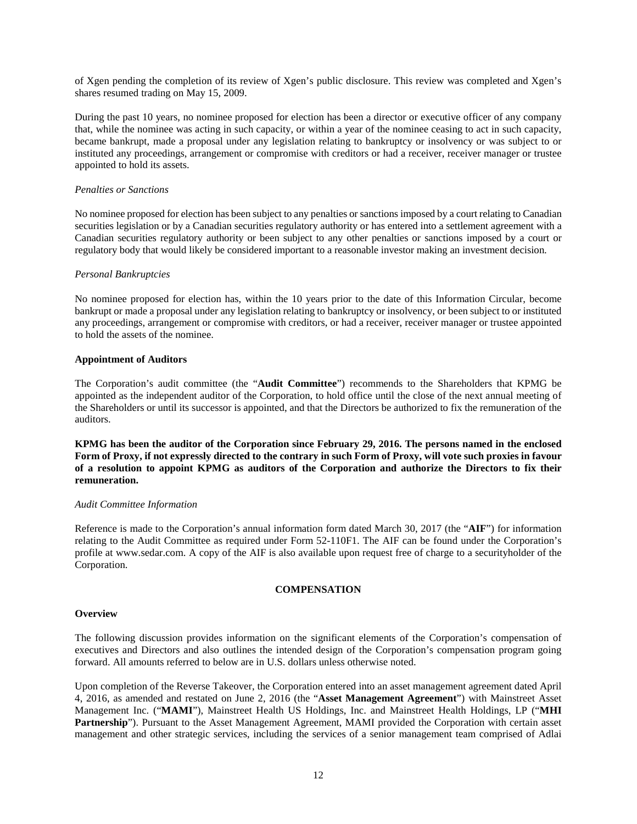of Xgen pending the completion of its review of Xgen's public disclosure. This review was completed and Xgen's shares resumed trading on May 15, 2009.

During the past 10 years, no nominee proposed for election has been a director or executive officer of any company that, while the nominee was acting in such capacity, or within a year of the nominee ceasing to act in such capacity, became bankrupt, made a proposal under any legislation relating to bankruptcy or insolvency or was subject to or instituted any proceedings, arrangement or compromise with creditors or had a receiver, receiver manager or trustee appointed to hold its assets.

## *Penalties or Sanctions*

No nominee proposed for election has been subject to any penalties or sanctions imposed by a court relating to Canadian securities legislation or by a Canadian securities regulatory authority or has entered into a settlement agreement with a Canadian securities regulatory authority or been subject to any other penalties or sanctions imposed by a court or regulatory body that would likely be considered important to a reasonable investor making an investment decision.

#### *Personal Bankruptcies*

No nominee proposed for election has, within the 10 years prior to the date of this Information Circular, become bankrupt or made a proposal under any legislation relating to bankruptcy or insolvency, or been subject to or instituted any proceedings, arrangement or compromise with creditors, or had a receiver, receiver manager or trustee appointed to hold the assets of the nominee.

### <span id="page-15-0"></span>**Appointment of Auditors**

The Corporation's audit committee (the "**Audit Committee**") recommends to the Shareholders that KPMG be appointed as the independent auditor of the Corporation, to hold office until the close of the next annual meeting of the Shareholders or until its successor is appointed, and that the Directors be authorized to fix the remuneration of the auditors.

**KPMG has been the auditor of the Corporation since February 29, 2016. The persons named in the enclosed Form of Proxy, if not expressly directed to the contrary in such Form of Proxy, will vote such proxies in favour of a resolution to appoint KPMG as auditors of the Corporation and authorize the Directors to fix their remuneration.**

#### *Audit Committee Information*

Reference is made to the Corporation's annual information form dated March 30, 2017 (the "**AIF**") for information relating to the Audit Committee as required under Form 52-110F1. The AIF can be found under the Corporation's profile at www.sedar.com. A copy of the AIF is also available upon request free of charge to a securityholder of the Corporation.

# **COMPENSATION**

#### <span id="page-15-2"></span><span id="page-15-1"></span>**Overview**

The following discussion provides information on the significant elements of the Corporation's compensation of executives and Directors and also outlines the intended design of the Corporation's compensation program going forward. All amounts referred to below are in U.S. dollars unless otherwise noted.

Upon completion of the Reverse Takeover, the Corporation entered into an asset management agreement dated April 4, 2016, as amended and restated on June 2, 2016 (the "**Asset Management Agreement**") with Mainstreet Asset Management Inc. ("**MAMI**"), Mainstreet Health US Holdings, Inc. and Mainstreet Health Holdings, LP ("**MHI Partnership**"). Pursuant to the Asset Management Agreement, MAMI provided the Corporation with certain asset management and other strategic services, including the services of a senior management team comprised of Adlai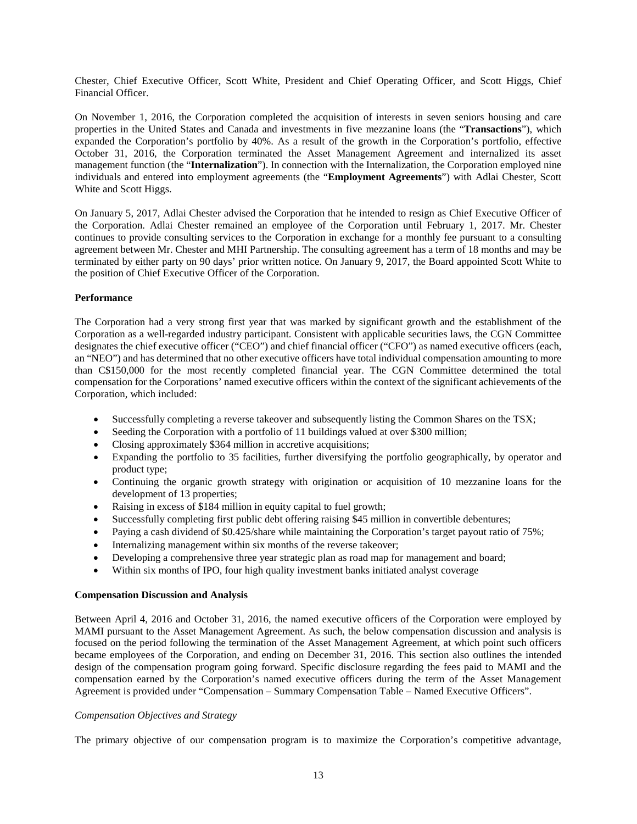Chester, Chief Executive Officer, Scott White, President and Chief Operating Officer, and Scott Higgs, Chief Financial Officer.

On November 1, 2016, the Corporation completed the acquisition of interests in seven seniors housing and care properties in the United States and Canada and investments in five mezzanine loans (the "**Transactions**"), which expanded the Corporation's portfolio by 40%. As a result of the growth in the Corporation's portfolio, effective October 31, 2016, the Corporation terminated the Asset Management Agreement and internalized its asset management function (the "**Internalization**"). In connection with the Internalization, the Corporation employed nine individuals and entered into employment agreements (the "**Employment Agreements**") with Adlai Chester, Scott White and Scott Higgs.

On January 5, 2017, Adlai Chester advised the Corporation that he intended to resign as Chief Executive Officer of the Corporation. Adlai Chester remained an employee of the Corporation until February 1, 2017. Mr. Chester continues to provide consulting services to the Corporation in exchange for a monthly fee pursuant to a consulting agreement between Mr. Chester and MHI Partnership. The consulting agreement has a term of 18 months and may be terminated by either party on 90 days' prior written notice. On January 9, 2017, the Board appointed Scott White to the position of Chief Executive Officer of the Corporation.

# **Performance**

The Corporation had a very strong first year that was marked by significant growth and the establishment of the Corporation as a well-regarded industry participant. Consistent with applicable securities laws, the CGN Committee designates the chief executive officer ("CEO") and chief financial officer ("CFO") as named executive officers (each, an "NEO") and has determined that no other executive officers have total individual compensation amounting to more than C\$150,000 for the most recently completed financial year. The CGN Committee determined the total compensation for the Corporations' named executive officers within the context of the significant achievements of the Corporation, which included:

- Successfully completing a reverse takeover and subsequently listing the Common Shares on the TSX;
- Seeding the Corporation with a portfolio of 11 buildings valued at over \$300 million;
- Closing approximately \$364 million in accretive acquisitions;
- Expanding the portfolio to 35 facilities, further diversifying the portfolio geographically, by operator and product type;
- Continuing the organic growth strategy with origination or acquisition of 10 mezzanine loans for the development of 13 properties;
- Raising in excess of \$184 million in equity capital to fuel growth;
- Successfully completing first public debt offering raising \$45 million in convertible debentures;
- Paying a cash dividend of \$0.425/share while maintaining the Corporation's target payout ratio of 75%;
- Internalizing management within six months of the reverse takeover;
- Developing a comprehensive three year strategic plan as road map for management and board;
- Within six months of IPO, four high quality investment banks initiated analyst coverage

#### <span id="page-16-0"></span>**Compensation Discussion and Analysis**

Between April 4, 2016 and October 31, 2016, the named executive officers of the Corporation were employed by MAMI pursuant to the Asset Management Agreement. As such, the below compensation discussion and analysis is focused on the period following the termination of the Asset Management Agreement, at which point such officers became employees of the Corporation, and ending on December 31, 2016. This section also outlines the intended design of the compensation program going forward. Specific disclosure regarding the fees paid to MAMI and the compensation earned by the Corporation's named executive officers during the term of the Asset Management Agreement is provided under "Compensation – Summary Compensation Table – Named Executive Officers".

#### *Compensation Objectives and Strategy*

The primary objective of our compensation program is to maximize the Corporation's competitive advantage,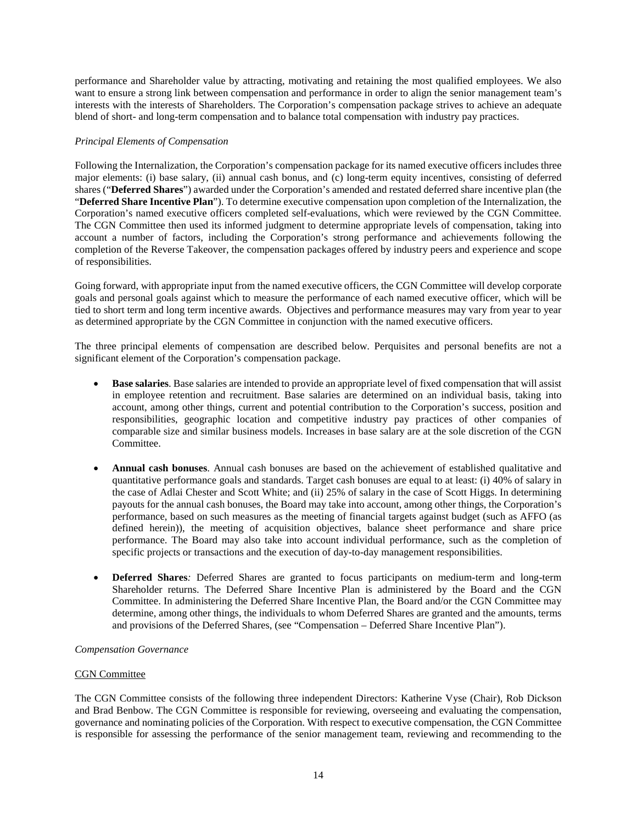performance and Shareholder value by attracting, motivating and retaining the most qualified employees. We also want to ensure a strong link between compensation and performance in order to align the senior management team's interests with the interests of Shareholders. The Corporation's compensation package strives to achieve an adequate blend of short- and long-term compensation and to balance total compensation with industry pay practices.

### *Principal Elements of Compensation*

Following the Internalization, the Corporation's compensation package for its named executive officers includes three major elements: (i) base salary, (ii) annual cash bonus, and (c) long-term equity incentives, consisting of deferred shares ("**Deferred Shares**") awarded under the Corporation's amended and restated deferred share incentive plan (the "**Deferred Share Incentive Plan**"). To determine executive compensation upon completion of the Internalization, the Corporation's named executive officers completed self-evaluations, which were reviewed by the CGN Committee. The CGN Committee then used its informed judgment to determine appropriate levels of compensation, taking into account a number of factors, including the Corporation's strong performance and achievements following the completion of the Reverse Takeover, the compensation packages offered by industry peers and experience and scope of responsibilities.

Going forward, with appropriate input from the named executive officers, the CGN Committee will develop corporate goals and personal goals against which to measure the performance of each named executive officer, which will be tied to short term and long term incentive awards. Objectives and performance measures may vary from year to year as determined appropriate by the CGN Committee in conjunction with the named executive officers.

The three principal elements of compensation are described below. Perquisites and personal benefits are not a significant element of the Corporation's compensation package.

- **Base salaries**. Base salaries are intended to provide an appropriate level of fixed compensation that will assist in employee retention and recruitment. Base salaries are determined on an individual basis, taking into account, among other things, current and potential contribution to the Corporation's success, position and responsibilities, geographic location and competitive industry pay practices of other companies of comparable size and similar business models. Increases in base salary are at the sole discretion of the CGN Committee.
- **Annual cash bonuses**. Annual cash bonuses are based on the achievement of established qualitative and quantitative performance goals and standards. Target cash bonuses are equal to at least: (i) 40% of salary in the case of Adlai Chester and Scott White; and (ii) 25% of salary in the case of Scott Higgs. In determining payouts for the annual cash bonuses, the Board may take into account, among other things, the Corporation's performance, based on such measures as the meeting of financial targets against budget (such as AFFO (as defined herein)), the meeting of acquisition objectives, balance sheet performance and share price performance. The Board may also take into account individual performance, such as the completion of specific projects or transactions and the execution of day-to-day management responsibilities.
- **Deferred Shares***:* Deferred Shares are granted to focus participants on medium-term and long-term Shareholder returns. The Deferred Share Incentive Plan is administered by the Board and the CGN Committee. In administering the Deferred Share Incentive Plan, the Board and/or the CGN Committee may determine, among other things, the individuals to whom Deferred Shares are granted and the amounts, terms and provisions of the Deferred Shares, (see "Compensation – Deferred Share Incentive Plan").

# *Compensation Governance*

#### CGN Committee

The CGN Committee consists of the following three independent Directors: Katherine Vyse (Chair), Rob Dickson and Brad Benbow. The CGN Committee is responsible for reviewing, overseeing and evaluating the compensation, governance and nominating policies of the Corporation. With respect to executive compensation, the CGN Committee is responsible for assessing the performance of the senior management team, reviewing and recommending to the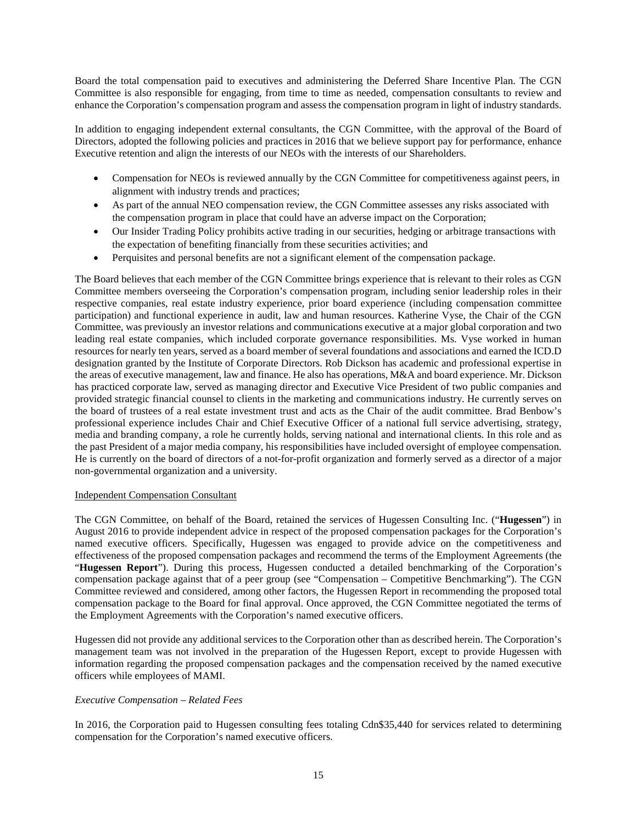Board the total compensation paid to executives and administering the Deferred Share Incentive Plan. The CGN Committee is also responsible for engaging, from time to time as needed, compensation consultants to review and enhance the Corporation's compensation program and assess the compensation program in light of industry standards.

In addition to engaging independent external consultants, the CGN Committee, with the approval of the Board of Directors, adopted the following policies and practices in 2016 that we believe support pay for performance, enhance Executive retention and align the interests of our NEOs with the interests of our Shareholders.

- Compensation for NEOs is reviewed annually by the CGN Committee for competitiveness against peers, in alignment with industry trends and practices;
- As part of the annual NEO compensation review, the CGN Committee assesses any risks associated with the compensation program in place that could have an adverse impact on the Corporation;
- Our Insider Trading Policy prohibits active trading in our securities, hedging or arbitrage transactions with the expectation of benefiting financially from these securities activities; and
- Perquisites and personal benefits are not a significant element of the compensation package.

The Board believes that each member of the CGN Committee brings experience that is relevant to their roles as CGN Committee members overseeing the Corporation's compensation program, including senior leadership roles in their respective companies, real estate industry experience, prior board experience (including compensation committee participation) and functional experience in audit, law and human resources. Katherine Vyse, the Chair of the CGN Committee, was previously an investor relations and communications executive at a major global corporation and two leading real estate companies, which included corporate governance responsibilities. Ms. Vyse worked in human resources for nearly ten years, served as a board member of several foundations and associations and earned the ICD.D designation granted by the Institute of Corporate Directors. Rob Dickson has academic and professional expertise in the areas of executive management, law and finance. He also has operations, M&A and board experience. Mr. Dickson has practiced corporate law, served as managing director and Executive Vice President of two public companies and provided strategic financial counsel to clients in the marketing and communications industry. He currently serves on the board of trustees of a real estate investment trust and acts as the Chair of the audit committee. Brad Benbow's professional experience includes Chair and Chief Executive Officer of a national full service advertising, strategy, media and branding company, a role he currently holds, serving national and international clients. In this role and as the past President of a major media company, his responsibilities have included oversight of employee compensation. He is currently on the board of directors of a not-for-profit organization and formerly served as a director of a major non-governmental organization and a university.

### Independent Compensation Consultant

The CGN Committee, on behalf of the Board, retained the services of Hugessen Consulting Inc. ("**Hugessen**") in August 2016 to provide independent advice in respect of the proposed compensation packages for the Corporation's named executive officers. Specifically, Hugessen was engaged to provide advice on the competitiveness and effectiveness of the proposed compensation packages and recommend the terms of the Employment Agreements (the "**Hugessen Report**"). During this process, Hugessen conducted a detailed benchmarking of the Corporation's compensation package against that of a peer group (see "Compensation – Competitive Benchmarking"). The CGN Committee reviewed and considered, among other factors, the Hugessen Report in recommending the proposed total compensation package to the Board for final approval. Once approved, the CGN Committee negotiated the terms of the Employment Agreements with the Corporation's named executive officers.

Hugessen did not provide any additional services to the Corporation other than as described herein. The Corporation's management team was not involved in the preparation of the Hugessen Report, except to provide Hugessen with information regarding the proposed compensation packages and the compensation received by the named executive officers while employees of MAMI.

# *Executive Compensation – Related Fees*

In 2016, the Corporation paid to Hugessen consulting fees totaling Cdn\$35,440 for services related to determining compensation for the Corporation's named executive officers.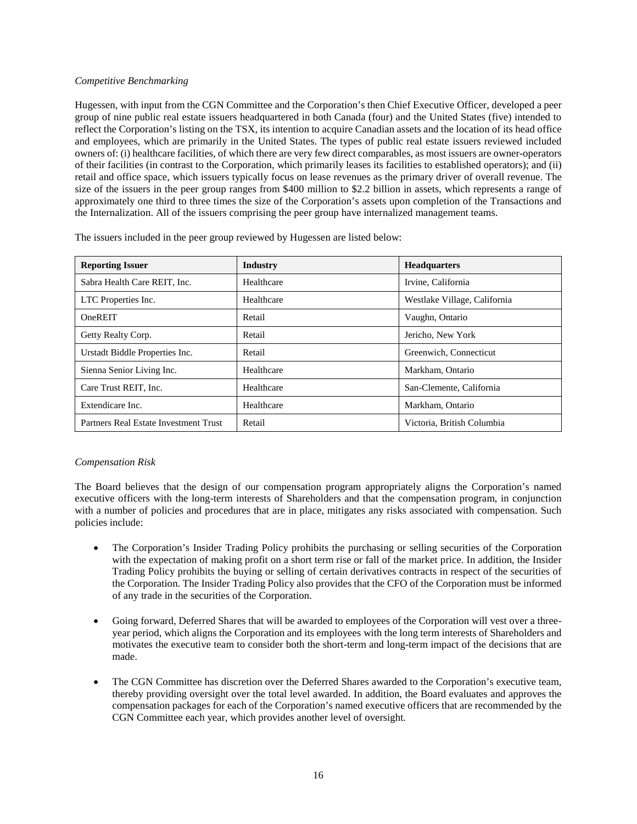## *Competitive Benchmarking*

Hugessen, with input from the CGN Committee and the Corporation's then Chief Executive Officer, developed a peer group of nine public real estate issuers headquartered in both Canada (four) and the United States (five) intended to reflect the Corporation's listing on the TSX, its intention to acquire Canadian assets and the location of its head office and employees, which are primarily in the United States. The types of public real estate issuers reviewed included owners of: (i) healthcare facilities, of which there are very few direct comparables, as most issuers are owner-operators of their facilities (in contrast to the Corporation, which primarily leases its facilities to established operators); and (ii) retail and office space, which issuers typically focus on lease revenues as the primary driver of overall revenue. The size of the issuers in the peer group ranges from \$400 million to \$2.2 billion in assets, which represents a range of approximately one third to three times the size of the Corporation's assets upon completion of the Transactions and the Internalization. All of the issuers comprising the peer group have internalized management teams.

| <b>Reporting Issuer</b>               | Industry   | <b>Headquarters</b>          |  |  |
|---------------------------------------|------------|------------------------------|--|--|
| Sabra Health Care REIT, Inc.          | Healthcare | Irvine, California           |  |  |
| LTC Properties Inc.                   | Healthcare | Westlake Village, California |  |  |
| OneREIT                               | Retail     | Vaughn, Ontario              |  |  |
| Getty Realty Corp.                    | Retail     | Jericho, New York            |  |  |
| Urstadt Biddle Properties Inc.        | Retail     | Greenwich, Connecticut       |  |  |
| Sienna Senior Living Inc.             | Healthcare | Markham, Ontario             |  |  |
| Care Trust REIT. Inc.                 | Healthcare | San-Clemente, California     |  |  |
| Extendicare Inc.                      | Healthcare | Markham, Ontario             |  |  |
| Partners Real Estate Investment Trust | Retail     | Victoria. British Columbia   |  |  |

The issuers included in the peer group reviewed by Hugessen are listed below:

# *Compensation Risk*

The Board believes that the design of our compensation program appropriately aligns the Corporation's named executive officers with the long-term interests of Shareholders and that the compensation program, in conjunction with a number of policies and procedures that are in place, mitigates any risks associated with compensation. Such policies include:

- The Corporation's Insider Trading Policy prohibits the purchasing or selling securities of the Corporation with the expectation of making profit on a short term rise or fall of the market price. In addition, the Insider Trading Policy prohibits the buying or selling of certain derivatives contracts in respect of the securities of the Corporation. The Insider Trading Policy also provides that the CFO of the Corporation must be informed of any trade in the securities of the Corporation.
- Going forward, Deferred Shares that will be awarded to employees of the Corporation will vest over a threeyear period, which aligns the Corporation and its employees with the long term interests of Shareholders and motivates the executive team to consider both the short-term and long-term impact of the decisions that are made.
- The CGN Committee has discretion over the Deferred Shares awarded to the Corporation's executive team, thereby providing oversight over the total level awarded. In addition, the Board evaluates and approves the compensation packages for each of the Corporation's named executive officers that are recommended by the CGN Committee each year, which provides another level of oversight.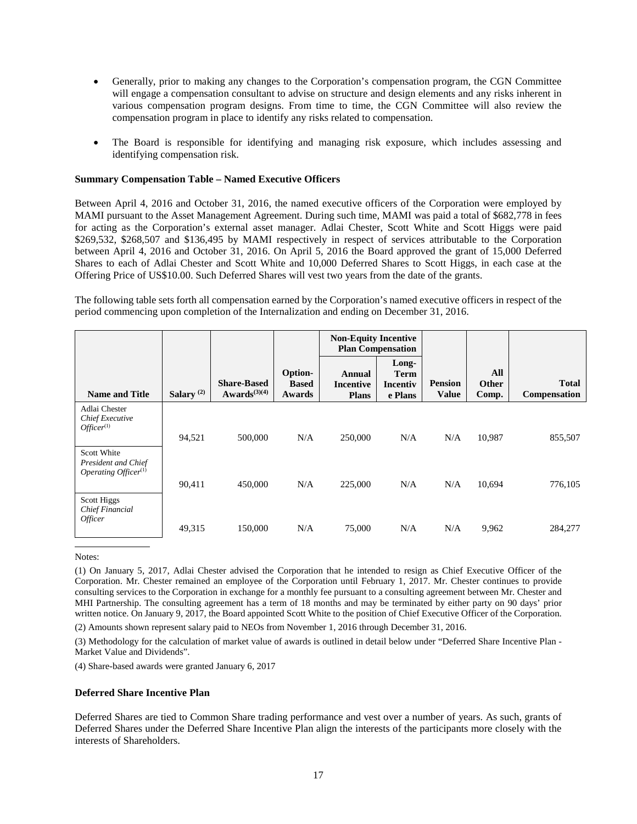- Generally, prior to making any changes to the Corporation's compensation program, the CGN Committee will engage a compensation consultant to advise on structure and design elements and any risks inherent in various compensation program designs. From time to time, the CGN Committee will also review the compensation program in place to identify any risks related to compensation.
- The Board is responsible for identifying and managing risk exposure, which includes assessing and identifying compensation risk.

#### <span id="page-20-0"></span>**Summary Compensation Table – Named Executive Officers**

Between April 4, 2016 and October 31, 2016, the named executive officers of the Corporation were employed by MAMI pursuant to the Asset Management Agreement. During such time, MAMI was paid a total of \$682,778 in fees for acting as the Corporation's external asset manager. Adlai Chester, Scott White and Scott Higgs were paid \$269,532, \$268,507 and \$136,495 by MAMI respectively in respect of services attributable to the Corporation between April 4, 2016 and October 31, 2016. On April 5, 2016 the Board approved the grant of 15,000 Deferred Shares to each of Adlai Chester and Scott White and 10,000 Deferred Shares to Scott Higgs, in each case at the Offering Price of US\$10.00. Such Deferred Shares will vest two years from the date of the grants.

The following table sets forth all compensation earned by the Corporation's named executive officers in respect of the period commencing upon completion of the Internalization and ending on December 31, 2016.

|                                                               |                       |                                         |                                   | <b>Non-Equity Incentive</b><br><b>Plan Compensation</b> |                                             |                                |                              |                              |
|---------------------------------------------------------------|-----------------------|-----------------------------------------|-----------------------------------|---------------------------------------------------------|---------------------------------------------|--------------------------------|------------------------------|------------------------------|
| <b>Name and Title</b>                                         | Salary <sup>(2)</sup> | <b>Share-Based</b><br>$Awards^{(3)(4)}$ | Option-<br><b>Based</b><br>Awards | Annual<br><b>Incentive</b><br><b>Plans</b>              | Long-<br><b>Term</b><br>Incentiv<br>e Plans | <b>Pension</b><br><b>Value</b> | All<br><b>Other</b><br>Comp. | <b>Total</b><br>Compensation |
| Adlai Chester<br>Chief Executive<br>$Officer^{(1)}$           | 94,521                | 500,000                                 | N/A                               | 250,000                                                 | N/A                                         | N/A                            | 10,987                       | 855,507                      |
| Scott White<br>President and Chief<br>Operating Officer $(1)$ | 90,411                | 450,000                                 | N/A                               | 225,000                                                 | N/A                                         | N/A                            | 10,694                       | 776,105                      |
| Scott Higgs<br>Chief Financial<br><i>Officer</i>              | 49,315                | 150,000                                 | N/A                               | 75,000                                                  | N/A                                         | N/A                            | 9,962                        | 284,277                      |

Notes:

(1) On January 5, 2017, Adlai Chester advised the Corporation that he intended to resign as Chief Executive Officer of the Corporation. Mr. Chester remained an employee of the Corporation until February 1, 2017. Mr. Chester continues to provide consulting services to the Corporation in exchange for a monthly fee pursuant to a consulting agreement between Mr. Chester and MHI Partnership. The consulting agreement has a term of 18 months and may be terminated by either party on 90 days' prior written notice. On January 9, 2017, the Board appointed Scott White to the position of Chief Executive Officer of the Corporation.

(2) Amounts shown represent salary paid to NEOs from November 1, 2016 through December 31, 2016.

(3) Methodology for the calculation of market value of awards is outlined in detail below under "Deferred Share Incentive Plan - Market Value and Dividends".

(4) Share-based awards were granted January 6, 2017

#### <span id="page-20-1"></span>**Deferred Share Incentive Plan**

Deferred Shares are tied to Common Share trading performance and vest over a number of years. As such, grants of Deferred Shares under the Deferred Share Incentive Plan align the interests of the participants more closely with the interests of Shareholders.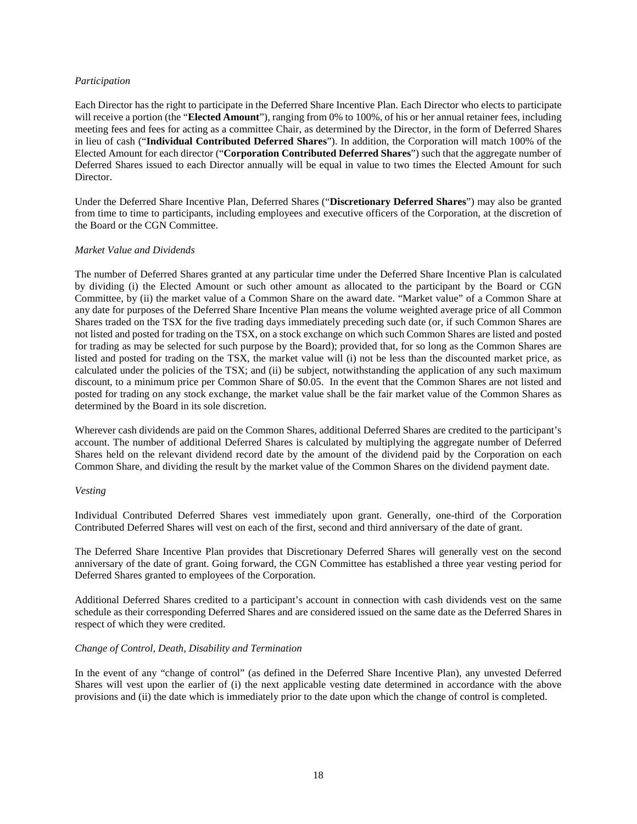### *Participation*

Each Director has the right to participate in the Deferred Share Incentive Plan. Each Director who elects to participate will receive a portion (the "**Elected Amount**"), ranging from 0% to 100%, of his or her annual retainer fees, including meeting fees and fees for acting as a committee Chair, as determined by the Director, in the form of Deferred Shares in lieu of cash ("**Individual Contributed Deferred Shares**"). In addition, the Corporation will match 100% of the Elected Amount for each director ("**Corporation Contributed Deferred Shares**") such that the aggregate number of Deferred Shares issued to each Director annually will be equal in value to two times the Elected Amount for such Director.

Under the Deferred Share Incentive Plan, Deferred Shares ("**Discretionary Deferred Shares**") may also be granted from time to time to participants, including employees and executive officers of the Corporation, at the discretion of the Board or the CGN Committee.

### *Market Value and Dividends*

The number of Deferred Shares granted at any particular time under the Deferred Share Incentive Plan is calculated by dividing (i) the Elected Amount or such other amount as allocated to the participant by the Board or CGN Committee, by (ii) the market value of a Common Share on the award date. "Market value" of a Common Share at any date for purposes of the Deferred Share Incentive Plan means the volume weighted average price of all Common Shares traded on the TSX for the five trading days immediately preceding such date (or, if such Common Shares are not listed and posted for trading on the TSX, on a stock exchange on which such Common Shares are listed and posted for trading as may be selected for such purpose by the Board); provided that, for so long as the Common Shares are listed and posted for trading on the TSX, the market value will (i) not be less than the discounted market price, as calculated under the policies of the TSX; and (ii) be subject, notwithstanding the application of any such maximum discount, to a minimum price per Common Share of \$0.05. In the event that the Common Shares are not listed and posted for trading on any stock exchange, the market value shall be the fair market value of the Common Shares as determined by the Board in its sole discretion.

Wherever cash dividends are paid on the Common Shares, additional Deferred Shares are credited to the participant's account. The number of additional Deferred Shares is calculated by multiplying the aggregate number of Deferred Shares held on the relevant dividend record date by the amount of the dividend paid by the Corporation on each Common Share, and dividing the result by the market value of the Common Shares on the dividend payment date.

#### *Vesting*

Individual Contributed Deferred Shares vest immediately upon grant. Generally, one-third of the Corporation Contributed Deferred Shares will vest on each of the first, second and third anniversary of the date of grant.

The Deferred Share Incentive Plan provides that Discretionary Deferred Shares will generally vest on the second anniversary of the date of grant. Going forward, the CGN Committee has established a three year vesting period for Deferred Shares granted to employees of the Corporation.

Additional Deferred Shares credited to a participant's account in connection with cash dividends vest on the same schedule as their corresponding Deferred Shares and are considered issued on the same date as the Deferred Shares in respect of which they were credited.

# *Change of Control, Death, Disability and Termination*

In the event of any "change of control" (as defined in the Deferred Share Incentive Plan), any unvested Deferred Shares will vest upon the earlier of (i) the next applicable vesting date determined in accordance with the above provisions and (ii) the date which is immediately prior to the date upon which the change of control is completed.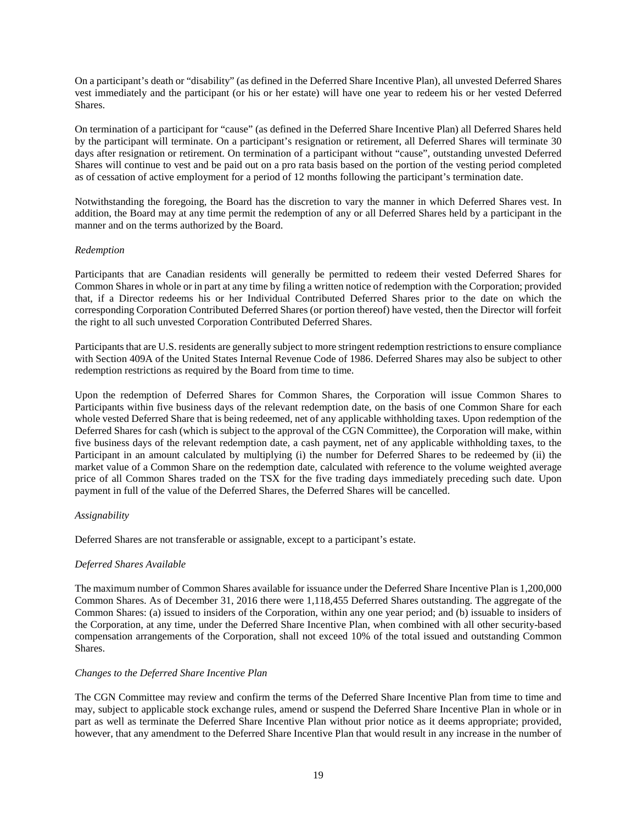On a participant's death or "disability" (as defined in the Deferred Share Incentive Plan), all unvested Deferred Shares vest immediately and the participant (or his or her estate) will have one year to redeem his or her vested Deferred Shares.

On termination of a participant for "cause" (as defined in the Deferred Share Incentive Plan) all Deferred Shares held by the participant will terminate. On a participant's resignation or retirement, all Deferred Shares will terminate 30 days after resignation or retirement. On termination of a participant without "cause", outstanding unvested Deferred Shares will continue to vest and be paid out on a pro rata basis based on the portion of the vesting period completed as of cessation of active employment for a period of 12 months following the participant's termination date.

Notwithstanding the foregoing, the Board has the discretion to vary the manner in which Deferred Shares vest. In addition, the Board may at any time permit the redemption of any or all Deferred Shares held by a participant in the manner and on the terms authorized by the Board.

### *Redemption*

Participants that are Canadian residents will generally be permitted to redeem their vested Deferred Shares for Common Shares in whole or in part at any time by filing a written notice of redemption with the Corporation; provided that, if a Director redeems his or her Individual Contributed Deferred Shares prior to the date on which the corresponding Corporation Contributed Deferred Shares (or portion thereof) have vested, then the Director will forfeit the right to all such unvested Corporation Contributed Deferred Shares.

Participants that are U.S. residents are generally subject to more stringent redemption restrictions to ensure compliance with Section 409A of the United States Internal Revenue Code of 1986. Deferred Shares may also be subject to other redemption restrictions as required by the Board from time to time.

Upon the redemption of Deferred Shares for Common Shares, the Corporation will issue Common Shares to Participants within five business days of the relevant redemption date, on the basis of one Common Share for each whole vested Deferred Share that is being redeemed, net of any applicable withholding taxes. Upon redemption of the Deferred Shares for cash (which is subject to the approval of the CGN Committee), the Corporation will make, within five business days of the relevant redemption date, a cash payment, net of any applicable withholding taxes, to the Participant in an amount calculated by multiplying (i) the number for Deferred Shares to be redeemed by (ii) the market value of a Common Share on the redemption date, calculated with reference to the volume weighted average price of all Common Shares traded on the TSX for the five trading days immediately preceding such date. Upon payment in full of the value of the Deferred Shares, the Deferred Shares will be cancelled.

#### *Assignability*

Deferred Shares are not transferable or assignable, except to a participant's estate.

# *Deferred Shares Available*

The maximum number of Common Shares available for issuance under the Deferred Share Incentive Plan is 1,200,000 Common Shares. As of December 31, 2016 there were 1,118,455 Deferred Shares outstanding. The aggregate of the Common Shares: (a) issued to insiders of the Corporation, within any one year period; and (b) issuable to insiders of the Corporation, at any time, under the Deferred Share Incentive Plan, when combined with all other security-based compensation arrangements of the Corporation, shall not exceed 10% of the total issued and outstanding Common Shares.

#### *Changes to the Deferred Share Incentive Plan*

The CGN Committee may review and confirm the terms of the Deferred Share Incentive Plan from time to time and may, subject to applicable stock exchange rules, amend or suspend the Deferred Share Incentive Plan in whole or in part as well as terminate the Deferred Share Incentive Plan without prior notice as it deems appropriate; provided, however, that any amendment to the Deferred Share Incentive Plan that would result in any increase in the number of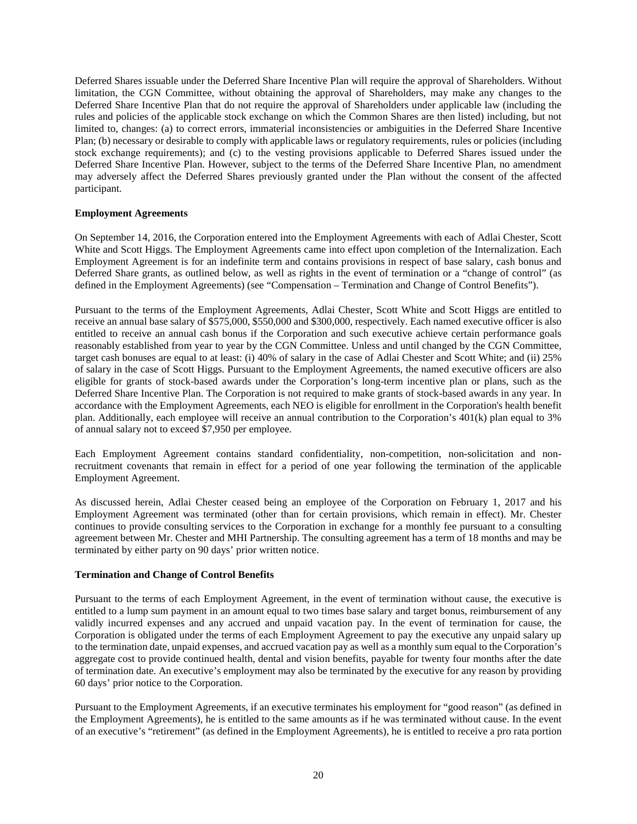Deferred Shares issuable under the Deferred Share Incentive Plan will require the approval of Shareholders. Without limitation, the CGN Committee, without obtaining the approval of Shareholders, may make any changes to the Deferred Share Incentive Plan that do not require the approval of Shareholders under applicable law (including the rules and policies of the applicable stock exchange on which the Common Shares are then listed) including, but not limited to, changes: (a) to correct errors, immaterial inconsistencies or ambiguities in the Deferred Share Incentive Plan; (b) necessary or desirable to comply with applicable laws or regulatory requirements, rules or policies (including stock exchange requirements); and (c) to the vesting provisions applicable to Deferred Shares issued under the Deferred Share Incentive Plan. However, subject to the terms of the Deferred Share Incentive Plan, no amendment may adversely affect the Deferred Shares previously granted under the Plan without the consent of the affected participant.

#### <span id="page-23-0"></span>**Employment Agreements**

On September 14, 2016, the Corporation entered into the Employment Agreements with each of Adlai Chester, Scott White and Scott Higgs. The Employment Agreements came into effect upon completion of the Internalization. Each Employment Agreement is for an indefinite term and contains provisions in respect of base salary, cash bonus and Deferred Share grants, as outlined below, as well as rights in the event of termination or a "change of control" (as defined in the Employment Agreements) (see "Compensation – Termination and Change of Control Benefits").

Pursuant to the terms of the Employment Agreements, Adlai Chester, Scott White and Scott Higgs are entitled to receive an annual base salary of \$575,000, \$550,000 and \$300,000, respectively. Each named executive officer is also entitled to receive an annual cash bonus if the Corporation and such executive achieve certain performance goals reasonably established from year to year by the CGN Committee. Unless and until changed by the CGN Committee, target cash bonuses are equal to at least: (i) 40% of salary in the case of Adlai Chester and Scott White; and (ii) 25% of salary in the case of Scott Higgs. Pursuant to the Employment Agreements, the named executive officers are also eligible for grants of stock-based awards under the Corporation's long-term incentive plan or plans, such as the Deferred Share Incentive Plan. The Corporation is not required to make grants of stock-based awards in any year. In accordance with the Employment Agreements, each NEO is eligible for enrollment in the Corporation's health benefit plan. Additionally, each employee will receive an annual contribution to the Corporation's 401(k) plan equal to 3% of annual salary not to exceed \$7,950 per employee.

Each Employment Agreement contains standard confidentiality, non-competition, non-solicitation and nonrecruitment covenants that remain in effect for a period of one year following the termination of the applicable Employment Agreement.

As discussed herein, Adlai Chester ceased being an employee of the Corporation on February 1, 2017 and his Employment Agreement was terminated (other than for certain provisions, which remain in effect). Mr. Chester continues to provide consulting services to the Corporation in exchange for a monthly fee pursuant to a consulting agreement between Mr. Chester and MHI Partnership. The consulting agreement has a term of 18 months and may be terminated by either party on 90 days' prior written notice.

# <span id="page-23-1"></span>**Termination and Change of Control Benefits**

Pursuant to the terms of each Employment Agreement, in the event of termination without cause, the executive is entitled to a lump sum payment in an amount equal to two times base salary and target bonus, reimbursement of any validly incurred expenses and any accrued and unpaid vacation pay. In the event of termination for cause, the Corporation is obligated under the terms of each Employment Agreement to pay the executive any unpaid salary up to the termination date, unpaid expenses, and accrued vacation pay as well as a monthly sum equal to the Corporation's aggregate cost to provide continued health, dental and vision benefits, payable for twenty four months after the date of termination date. An executive's employment may also be terminated by the executive for any reason by providing 60 days' prior notice to the Corporation.

Pursuant to the Employment Agreements, if an executive terminates his employment for "good reason" (as defined in the Employment Agreements), he is entitled to the same amounts as if he was terminated without cause. In the event of an executive's "retirement" (as defined in the Employment Agreements), he is entitled to receive a pro rata portion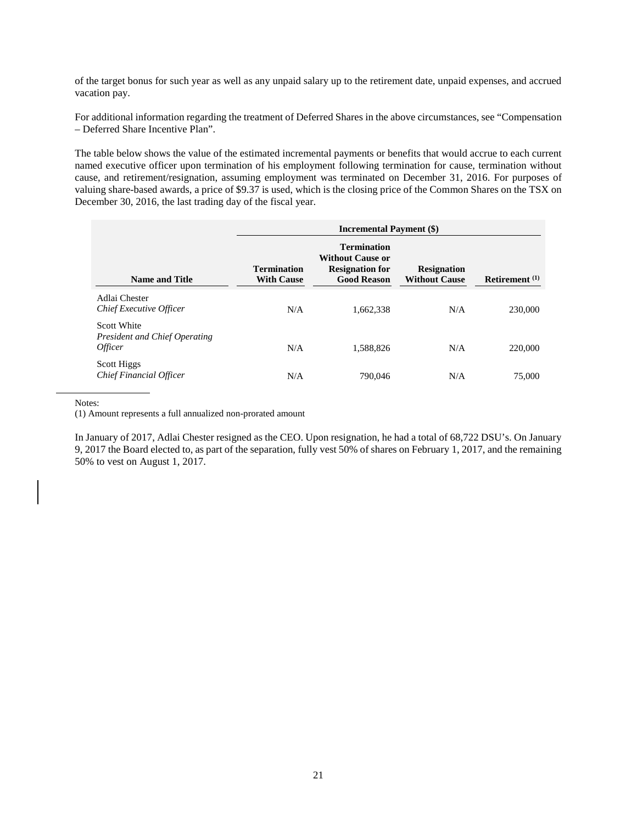of the target bonus for such year as well as any unpaid salary up to the retirement date, unpaid expenses, and accrued vacation pay.

For additional information regarding the treatment of Deferred Shares in the above circumstances, see "Compensation – Deferred Share Incentive Plan".

The table below shows the value of the estimated incremental payments or benefits that would accrue to each current named executive officer upon termination of his employment following termination for cause, termination without cause, and retirement/resignation, assuming employment was terminated on December 31, 2016. For purposes of valuing share-based awards, a price of \$9.37 is used, which is the closing price of the Common Shares on the TSX on December 30, 2016, the last trading day of the fiscal year.

|                                                                       | <b>Incremental Payment (\$)</b>         |                                                                                               |                                            |                  |  |
|-----------------------------------------------------------------------|-----------------------------------------|-----------------------------------------------------------------------------------------------|--------------------------------------------|------------------|--|
| <b>Name and Title</b>                                                 | <b>Termination</b><br><b>With Cause</b> | <b>Termination</b><br><b>Without Cause or</b><br><b>Resignation for</b><br><b>Good Reason</b> | <b>Resignation</b><br><b>Without Cause</b> | Retirement $(1)$ |  |
| Adlai Chester<br><b>Chief Executive Officer</b>                       | N/A                                     | 1,662,338                                                                                     | N/A                                        | 230,000          |  |
| <b>Scott White</b><br>President and Chief Operating<br><i>Officer</i> | N/A                                     | 1.588.826                                                                                     | N/A                                        | 220,000          |  |
| Scott Higgs<br><b>Chief Financial Officer</b>                         | N/A                                     | 790,046                                                                                       | N/A                                        | 75,000           |  |

Notes:

(1) Amount represents a full annualized non-prorated amount

<span id="page-24-0"></span>In January of 2017, Adlai Chester resigned as the CEO. Upon resignation, he had a total of 68,722 DSU's. On January 9, 2017 the Board elected to, as part of the separation, fully vest 50% of shares on February 1, 2017, and the remaining 50% to vest on August 1, 2017.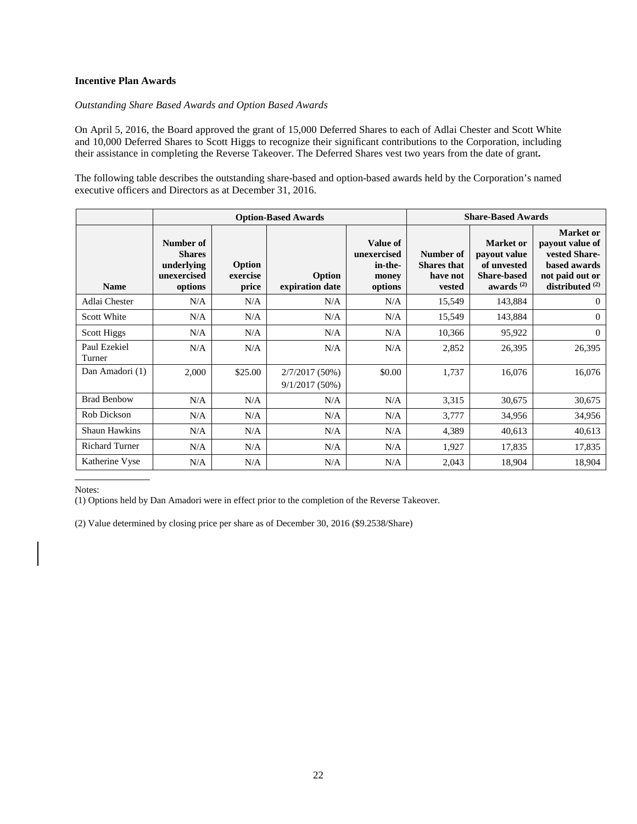# **Incentive Plan Awards**

#### *Outstanding Share Based Awards and Option Based Awards*

On April 5, 2016, the Board approved the grant of 15,000 Deferred Shares to each of Adlai Chester and Scott White and 10,000 Deferred Shares to Scott Higgs to recognize their significant contributions to the Corporation, including their assistance in completing the Reverse Takeover. The Deferred Shares vest two years from the date of grant**.**

The following table describes the outstanding share-based and option-based awards held by the Corporation's named executive officers and Directors as at December 31, 2016.

|                        |                                                                    |                             | <b>Option-Based Awards</b>           | <b>Share-Based Awards</b>                              |                                                       |                                                                                   |                                                                                                              |
|------------------------|--------------------------------------------------------------------|-----------------------------|--------------------------------------|--------------------------------------------------------|-------------------------------------------------------|-----------------------------------------------------------------------------------|--------------------------------------------------------------------------------------------------------------|
| <b>Name</b>            | Number of<br><b>Shares</b><br>underlying<br>unexercised<br>options | Option<br>exercise<br>price | Option<br>expiration date            | Value of<br>unexercised<br>in-the-<br>money<br>options | Number of<br><b>Shares</b> that<br>have not<br>vested | Market or<br>payout value<br>of unvested<br><b>Share-based</b><br>awards $^{(2)}$ | <b>Market</b> or<br>payout value of<br>vested Share-<br>based awards<br>not paid out or<br>distributed $(2)$ |
| Adlai Chester          | N/A                                                                | N/A                         | N/A                                  | N/A                                                    | 15,549                                                | 143,884                                                                           | $\Omega$                                                                                                     |
| <b>Scott White</b>     | N/A                                                                | N/A                         | N/A                                  | N/A                                                    | 15,549                                                | 143,884                                                                           | $\Omega$                                                                                                     |
| Scott Higgs            | N/A                                                                | N/A                         | N/A                                  | N/A                                                    | 10,366                                                | 95,922                                                                            | $\Omega$                                                                                                     |
| Paul Ezekiel<br>Turner | N/A                                                                | N/A                         | N/A                                  | N/A                                                    | 2,852                                                 | 26,395                                                                            | 26,395                                                                                                       |
| Dan Amadori (1)        | 2,000                                                              | \$25.00                     | $2/7/2017(50\%)$<br>$9/1/2017(50\%)$ | \$0.00                                                 | 1,737                                                 | 16,076                                                                            | 16,076                                                                                                       |
| <b>Brad Benbow</b>     | N/A                                                                | N/A                         | N/A                                  | N/A                                                    | 3,315                                                 | 30,675                                                                            | 30,675                                                                                                       |
| Rob Dickson            | N/A                                                                | N/A                         | N/A                                  | N/A                                                    | 3,777                                                 | 34,956                                                                            | 34,956                                                                                                       |
| <b>Shaun Hawkins</b>   | N/A                                                                | N/A                         | N/A                                  | N/A                                                    | 4,389                                                 | 40,613                                                                            | 40,613                                                                                                       |
| <b>Richard Turner</b>  | N/A                                                                | N/A                         | N/A                                  | N/A                                                    | 1,927                                                 | 17,835                                                                            | 17,835                                                                                                       |
| Katherine Vyse         | N/A                                                                | N/A                         | N/A                                  | N/A                                                    | 2,043                                                 | 18,904                                                                            | 18,904                                                                                                       |

Notes:

(1) Options held by Dan Amadori were in effect prior to the completion of the Reverse Takeover.

(2) Value determined by closing price per share as of December 30, 2016 (\$9.2538/Share)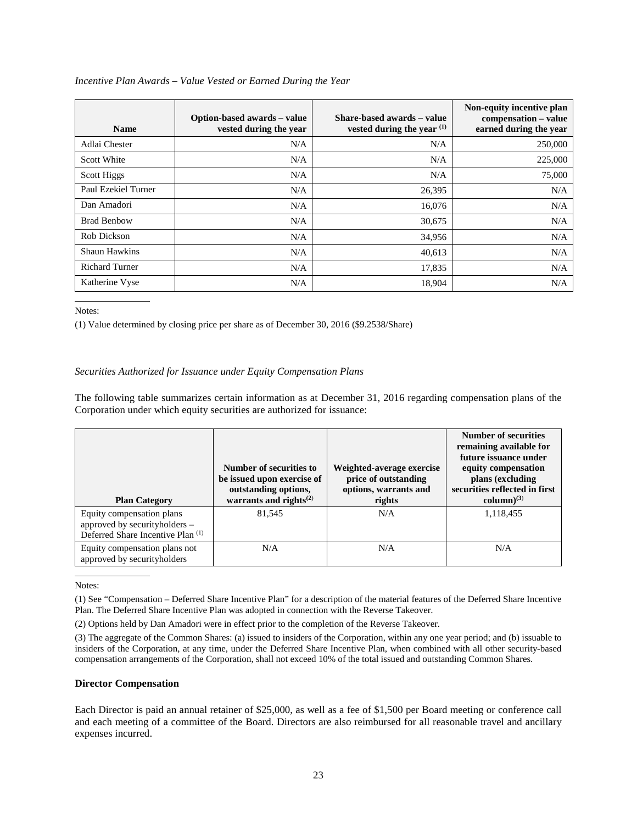| <b>Name</b>           | Option-based awards – value<br>vested during the year | Share-based awards – value<br>vested during the year <sup>(1)</sup> | Non-equity incentive plan<br>compensation – value<br>earned during the year |
|-----------------------|-------------------------------------------------------|---------------------------------------------------------------------|-----------------------------------------------------------------------------|
| Adlai Chester         | N/A                                                   | N/A                                                                 | 250,000                                                                     |
| Scott White           | N/A                                                   | N/A                                                                 | 225,000                                                                     |
| Scott Higgs           | N/A                                                   | N/A                                                                 | 75,000                                                                      |
| Paul Ezekiel Turner   | N/A                                                   | 26,395                                                              | N/A                                                                         |
| Dan Amadori           | N/A                                                   | 16,076                                                              | N/A                                                                         |
| <b>Brad Benbow</b>    | N/A                                                   | 30,675                                                              | N/A                                                                         |
| Rob Dickson           | N/A                                                   | 34,956                                                              | N/A                                                                         |
| <b>Shaun Hawkins</b>  | N/A                                                   | 40,613                                                              | N/A                                                                         |
| <b>Richard Turner</b> | N/A                                                   | 17,835                                                              | N/A                                                                         |
| Katherine Vyse        | N/A                                                   | 18,904                                                              | N/A                                                                         |

## *Incentive Plan Awards – Value Vested or Earned During the Year*

Notes:

(1) Value determined by closing price per share as of December 30, 2016 (\$9.2538/Share)

## *Securities Authorized for Issuance under Equity Compensation Plans*

The following table summarizes certain information as at December 31, 2016 regarding compensation plans of the Corporation under which equity securities are authorized for issuance:

| <b>Plan Category</b>                                                                            | Number of securities to<br>be issued upon exercise of<br>outstanding options,<br>warrants and rights $^{(2)}$ | Weighted-average exercise<br>price of outstanding<br>options, warrants and<br>rights | <b>Number of securities</b><br>remaining available for<br>future issuance under<br>equity compensation<br>plans (excluding<br>securities reflected in first<br>column $)^{(3)}$ |
|-------------------------------------------------------------------------------------------------|---------------------------------------------------------------------------------------------------------------|--------------------------------------------------------------------------------------|---------------------------------------------------------------------------------------------------------------------------------------------------------------------------------|
| Equity compensation plans<br>approved by securityholders -<br>Deferred Share Incentive Plan (1) | 81,545                                                                                                        | N/A                                                                                  | 1,118,455                                                                                                                                                                       |
| Equity compensation plans not<br>approved by securityholders                                    | N/A                                                                                                           | N/A                                                                                  | N/A                                                                                                                                                                             |

Notes:

(2) Options held by Dan Amadori were in effect prior to the completion of the Reverse Takeover.

#### <span id="page-26-0"></span>**Director Compensation**

Each Director is paid an annual retainer of \$25,000, as well as a fee of \$1,500 per Board meeting or conference call and each meeting of a committee of the Board. Directors are also reimbursed for all reasonable travel and ancillary expenses incurred.

<sup>(1)</sup> See "Compensation – Deferred Share Incentive Plan" for a description of the material features of the Deferred Share Incentive Plan. The Deferred Share Incentive Plan was adopted in connection with the Reverse Takeover.

<sup>(3)</sup> The aggregate of the Common Shares: (a) issued to insiders of the Corporation, within any one year period; and (b) issuable to insiders of the Corporation, at any time, under the Deferred Share Incentive Plan, when combined with all other security-based compensation arrangements of the Corporation, shall not exceed 10% of the total issued and outstanding Common Shares.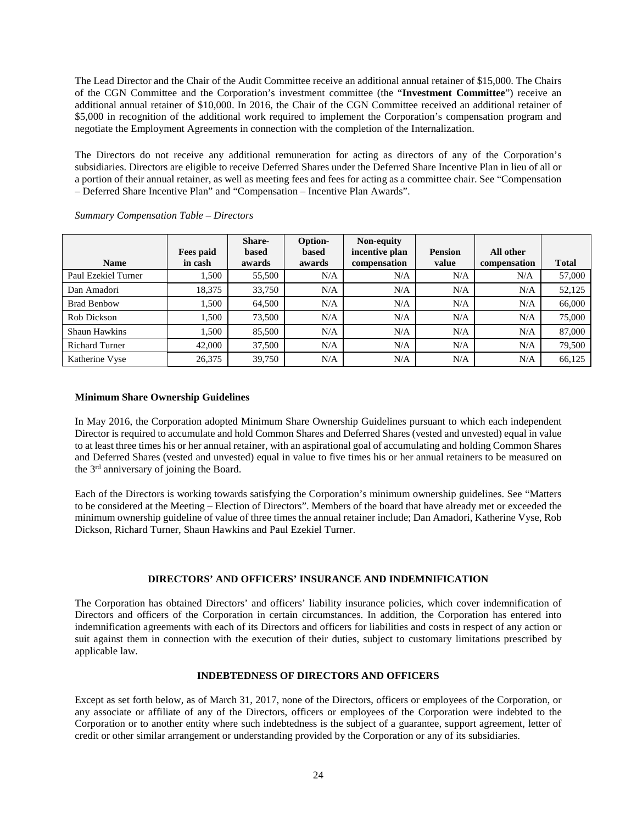The Lead Director and the Chair of the Audit Committee receive an additional annual retainer of \$15,000. The Chairs of the CGN Committee and the Corporation's investment committee (the "**Investment Committee**") receive an additional annual retainer of \$10,000. In 2016, the Chair of the CGN Committee received an additional retainer of \$5,000 in recognition of the additional work required to implement the Corporation's compensation program and negotiate the Employment Agreements in connection with the completion of the Internalization.

The Directors do not receive any additional remuneration for acting as directors of any of the Corporation's subsidiaries. Directors are eligible to receive Deferred Shares under the Deferred Share Incentive Plan in lieu of all or a portion of their annual retainer, as well as meeting fees and fees for acting as a committee chair. See "Compensation – Deferred Share Incentive Plan" and "Compensation – Incentive Plan Awards".

| <b>Name</b>           | Fees paid<br>in cash | <b>Share-</b><br><b>based</b><br>awards | Option-<br>based<br>awards | Non-equity<br>incentive plan<br>compensation | <b>Pension</b><br>value | All other<br>compensation | <b>Total</b> |
|-----------------------|----------------------|-----------------------------------------|----------------------------|----------------------------------------------|-------------------------|---------------------------|--------------|
| Paul Ezekiel Turner   | 1,500                | 55,500                                  | N/A                        | N/A                                          | N/A                     | N/A                       | 57,000       |
| Dan Amadori           | 18.375               | 33,750                                  | N/A                        | N/A                                          | N/A                     | N/A                       | 52,125       |
| <b>Brad Benbow</b>    | 1.500                | 64,500                                  | N/A                        | N/A                                          | N/A                     | N/A                       | 66,000       |
| Rob Dickson           | 1,500                | 73,500                                  | N/A                        | N/A                                          | N/A                     | N/A                       | 75,000       |
| <b>Shaun Hawkins</b>  | 1.500                | 85,500                                  | N/A                        | N/A                                          | N/A                     | N/A                       | 87,000       |
| <b>Richard Turner</b> | 42,000               | 37,500                                  | N/A                        | N/A                                          | N/A                     | N/A                       | 79,500       |
| Katherine Vyse        | 26,375               | 39,750                                  | N/A                        | N/A                                          | N/A                     | N/A                       | 66,125       |

*Summary Compensation Table – Directors*

# <span id="page-27-0"></span>**Minimum Share Ownership Guidelines**

In May 2016, the Corporation adopted Minimum Share Ownership Guidelines pursuant to which each independent Director is required to accumulate and hold Common Shares and Deferred Shares (vested and unvested) equal in value to at least three times his or her annual retainer, with an aspirational goal of accumulating and holding Common Shares and Deferred Shares (vested and unvested) equal in value to five times his or her annual retainers to be measured on the 3rd anniversary of joining the Board.

Each of the Directors is working towards satisfying the Corporation's minimum ownership guidelines. See "Matters to be considered at the Meeting – Election of Directors". Members of the board that have already met or exceeded the minimum ownership guideline of value of three times the annual retainer include; Dan Amadori, Katherine Vyse, Rob Dickson, Richard Turner, Shaun Hawkins and Paul Ezekiel Turner.

# **DIRECTORS' AND OFFICERS' INSURANCE AND INDEMNIFICATION**

<span id="page-27-1"></span>The Corporation has obtained Directors' and officers' liability insurance policies, which cover indemnification of Directors and officers of the Corporation in certain circumstances. In addition, the Corporation has entered into indemnification agreements with each of its Directors and officers for liabilities and costs in respect of any action or suit against them in connection with the execution of their duties, subject to customary limitations prescribed by applicable law.

#### **INDEBTEDNESS OF DIRECTORS AND OFFICERS**

<span id="page-27-2"></span>Except as set forth below, as of March 31, 2017, none of the Directors, officers or employees of the Corporation, or any associate or affiliate of any of the Directors, officers or employees of the Corporation were indebted to the Corporation or to another entity where such indebtedness is the subject of a guarantee, support agreement, letter of credit or other similar arrangement or understanding provided by the Corporation or any of its subsidiaries.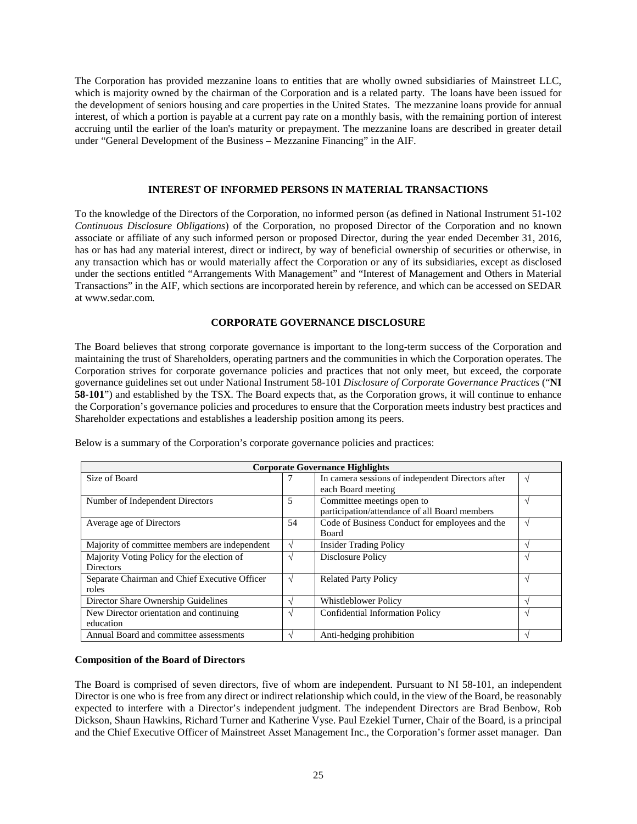The Corporation has provided mezzanine loans to entities that are wholly owned subsidiaries of Mainstreet LLC, which is majority owned by the chairman of the Corporation and is a related party. The loans have been issued for the development of seniors housing and care properties in the United States. The mezzanine loans provide for annual interest, of which a portion is payable at a current pay rate on a monthly basis, with the remaining portion of interest accruing until the earlier of the loan's maturity or prepayment. The mezzanine loans are described in greater detail under "General Development of the Business – Mezzanine Financing" in the AIF.

#### **INTEREST OF INFORMED PERSONS IN MATERIAL TRANSACTIONS**

<span id="page-28-0"></span>To the knowledge of the Directors of the Corporation, no informed person (as defined in National Instrument 51-102 *Continuous Disclosure Obligations*) of the Corporation, no proposed Director of the Corporation and no known associate or affiliate of any such informed person or proposed Director, during the year ended December 31, 2016, has or has had any material interest, direct or indirect, by way of beneficial ownership of securities or otherwise, in any transaction which has or would materially affect the Corporation or any of its subsidiaries, except as disclosed under the sections entitled "Arrangements With Management" and "Interest of Management and Others in Material Transactions" in the AIF, which sections are incorporated herein by reference, and which can be accessed on SEDAR at www.sedar.com*.*

### **CORPORATE GOVERNANCE DISCLOSURE**

<span id="page-28-1"></span>The Board believes that strong corporate governance is important to the long-term success of the Corporation and maintaining the trust of Shareholders, operating partners and the communities in which the Corporation operates. The Corporation strives for corporate governance policies and practices that not only meet, but exceed, the corporate governance guidelines set out under National Instrument 58-101 *Disclosure of Corporate Governance Practices* ("**NI 58-101**") and established by the TSX. The Board expects that, as the Corporation grows, it will continue to enhance the Corporation's governance policies and procedures to ensure that the Corporation meets industry best practices and Shareholder expectations and establishes a leadership position among its peers.

| <b>Corporate Governance Highlights</b>        |               |                                                   |               |  |  |
|-----------------------------------------------|---------------|---------------------------------------------------|---------------|--|--|
| Size of Board                                 |               | In camera sessions of independent Directors after | V             |  |  |
|                                               |               | each Board meeting                                |               |  |  |
| Number of Independent Directors               | 5             | Committee meetings open to                        | $\sim$        |  |  |
|                                               |               | participation/attendance of all Board members     |               |  |  |
| Average age of Directors                      | 54            | Code of Business Conduct for employees and the    | V             |  |  |
|                                               |               | <b>Board</b>                                      |               |  |  |
| Majority of committee members are independent | $\sim$        | <b>Insider Trading Policy</b>                     | $\sim$        |  |  |
| Majority Voting Policy for the election of    | $\mathcal{A}$ | Disclosure Policy                                 | V             |  |  |
| <b>Directors</b>                              |               |                                                   |               |  |  |
| Separate Chairman and Chief Executive Officer | $\sqrt{ }$    | <b>Related Party Policy</b>                       | V             |  |  |
| roles                                         |               |                                                   |               |  |  |
| Director Share Ownership Guidelines           | $\Delta$      | <b>Whistleblower Policy</b>                       | $\mathcal{N}$ |  |  |
| New Director orientation and continuing       | $\sim$        | <b>Confidential Information Policy</b>            | V             |  |  |
| education                                     |               |                                                   |               |  |  |
| Annual Board and committee assessments        | $\Delta$      | Anti-hedging prohibition                          |               |  |  |

Below is a summary of the Corporation's corporate governance policies and practices:

### <span id="page-28-2"></span>**Composition of the Board of Directors**

The Board is comprised of seven directors, five of whom are independent. Pursuant to NI 58-101, an independent Director is one who is free from any direct or indirect relationship which could, in the view of the Board, be reasonably expected to interfere with a Director's independent judgment. The independent Directors are Brad Benbow, Rob Dickson, Shaun Hawkins, Richard Turner and Katherine Vyse. Paul Ezekiel Turner, Chair of the Board, is a principal and the Chief Executive Officer of Mainstreet Asset Management Inc., the Corporation's former asset manager. Dan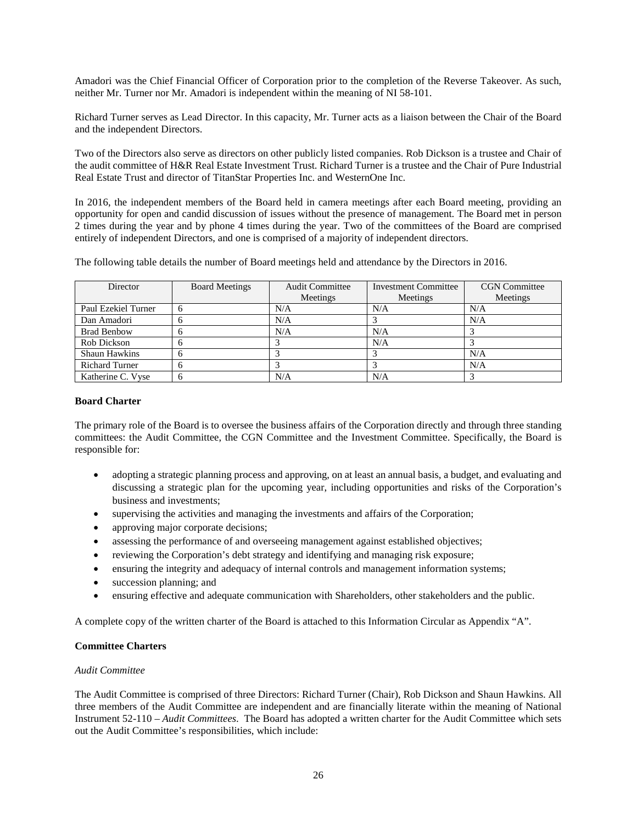Amadori was the Chief Financial Officer of Corporation prior to the completion of the Reverse Takeover. As such, neither Mr. Turner nor Mr. Amadori is independent within the meaning of NI 58-101.

Richard Turner serves as Lead Director. In this capacity, Mr. Turner acts as a liaison between the Chair of the Board and the independent Directors.

Two of the Directors also serve as directors on other publicly listed companies. Rob Dickson is a trustee and Chair of the audit committee of H&R Real Estate Investment Trust. Richard Turner is a trustee and the Chair of Pure Industrial Real Estate Trust and director of TitanStar Properties Inc. and WesternOne Inc.

In 2016, the independent members of the Board held in camera meetings after each Board meeting, providing an opportunity for open and candid discussion of issues without the presence of management. The Board met in person 2 times during the year and by phone 4 times during the year. Two of the committees of the Board are comprised entirely of independent Directors, and one is comprised of a majority of independent directors.

The following table details the number of Board meetings held and attendance by the Directors in 2016.

| Director              | <b>Board Meetings</b> | <b>Audit Committee</b> | <b>Investment Committee</b> | <b>CGN</b> Committee |
|-----------------------|-----------------------|------------------------|-----------------------------|----------------------|
|                       |                       | Meetings               | Meetings                    | Meetings             |
| Paul Ezekiel Turner   | 6                     | N/A                    | N/A                         | N/A                  |
| Dan Amadori           |                       | N/A                    |                             | N/A                  |
| <b>Brad Benbow</b>    |                       | N/A                    | N/A                         |                      |
| Rob Dickson           |                       |                        | N/A                         |                      |
| <b>Shaun Hawkins</b>  |                       |                        |                             | N/A                  |
| <b>Richard Turner</b> |                       |                        |                             | N/A                  |
| Katherine C. Vyse     | 6                     | N/A                    | N/A                         |                      |

### <span id="page-29-0"></span>**Board Charter**

The primary role of the Board is to oversee the business affairs of the Corporation directly and through three standing committees: the Audit Committee, the CGN Committee and the Investment Committee. Specifically, the Board is responsible for:

- adopting a strategic planning process and approving, on at least an annual basis, a budget, and evaluating and discussing a strategic plan for the upcoming year, including opportunities and risks of the Corporation's business and investments;
- supervising the activities and managing the investments and affairs of the Corporation;
- approving major corporate decisions;
- assessing the performance of and overseeing management against established objectives;
- reviewing the Corporation's debt strategy and identifying and managing risk exposure;
- ensuring the integrity and adequacy of internal controls and management information systems;
- succession planning; and
- ensuring effective and adequate communication with Shareholders, other stakeholders and the public.

A complete copy of the written charter of the Board is attached to this Information Circular as Appendix "A".

### <span id="page-29-1"></span>**Committee Charters**

#### *Audit Committee*

The Audit Committee is comprised of three Directors: Richard Turner (Chair), Rob Dickson and Shaun Hawkins. All three members of the Audit Committee are independent and are financially literate within the meaning of National Instrument 52-110 *– Audit Committees*. The Board has adopted a written charter for the Audit Committee which sets out the Audit Committee's responsibilities, which include: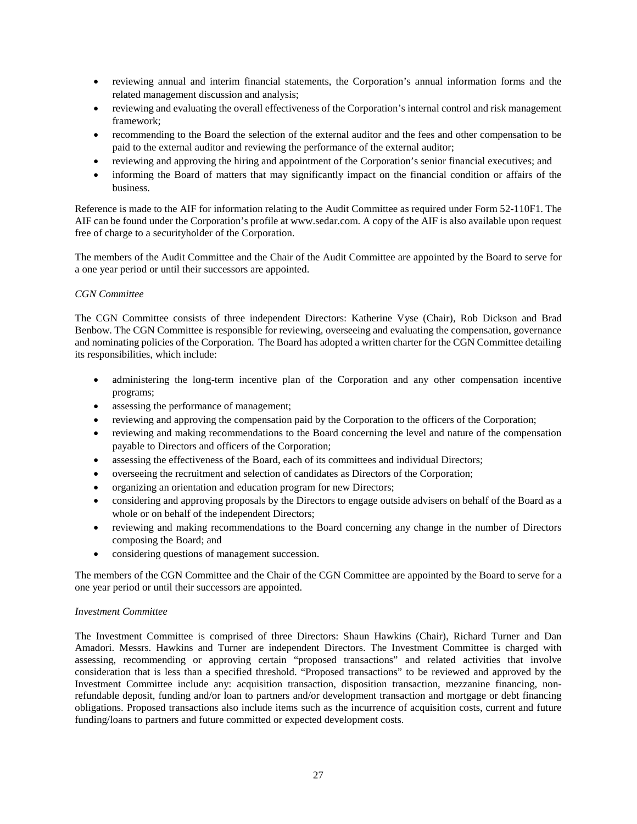- reviewing annual and interim financial statements, the Corporation's annual information forms and the related management discussion and analysis;
- reviewing and evaluating the overall effectiveness of the Corporation's internal control and risk management framework;
- recommending to the Board the selection of the external auditor and the fees and other compensation to be paid to the external auditor and reviewing the performance of the external auditor;
- reviewing and approving the hiring and appointment of the Corporation's senior financial executives; and
- informing the Board of matters that may significantly impact on the financial condition or affairs of the business.

Reference is made to the AIF for information relating to the Audit Committee as required under Form 52-110F1. The AIF can be found under the Corporation's profile at www.sedar.com. A copy of the AIF is also available upon request free of charge to a securityholder of the Corporation.

The members of the Audit Committee and the Chair of the Audit Committee are appointed by the Board to serve for a one year period or until their successors are appointed.

# *CGN Committee*

The CGN Committee consists of three independent Directors: Katherine Vyse (Chair), Rob Dickson and Brad Benbow. The CGN Committee is responsible for reviewing, overseeing and evaluating the compensation, governance and nominating policies of the Corporation. The Board has adopted a written charter for the CGN Committee detailing its responsibilities, which include:

- administering the long-term incentive plan of the Corporation and any other compensation incentive programs;
- assessing the performance of management;
- reviewing and approving the compensation paid by the Corporation to the officers of the Corporation;
- reviewing and making recommendations to the Board concerning the level and nature of the compensation payable to Directors and officers of the Corporation;
- assessing the effectiveness of the Board, each of its committees and individual Directors;
- overseeing the recruitment and selection of candidates as Directors of the Corporation;
- organizing an orientation and education program for new Directors;
- considering and approving proposals by the Directors to engage outside advisers on behalf of the Board as a whole or on behalf of the independent Directors;
- reviewing and making recommendations to the Board concerning any change in the number of Directors composing the Board; and
- considering questions of management succession.

The members of the CGN Committee and the Chair of the CGN Committee are appointed by the Board to serve for a one year period or until their successors are appointed.

# *Investment Committee*

The Investment Committee is comprised of three Directors: Shaun Hawkins (Chair), Richard Turner and Dan Amadori. Messrs. Hawkins and Turner are independent Directors. The Investment Committee is charged with assessing, recommending or approving certain "proposed transactions" and related activities that involve consideration that is less than a specified threshold. "Proposed transactions" to be reviewed and approved by the Investment Committee include any: acquisition transaction, disposition transaction, mezzanine financing, nonrefundable deposit, funding and/or loan to partners and/or development transaction and mortgage or debt financing obligations. Proposed transactions also include items such as the incurrence of acquisition costs, current and future funding/loans to partners and future committed or expected development costs.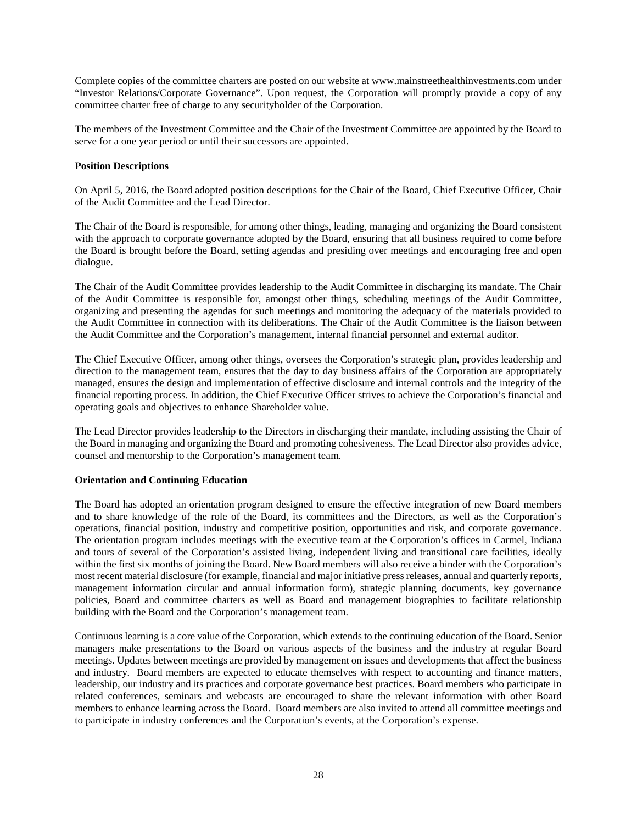Complete copies of the committee charters are posted on our website at www.mainstreethealthinvestments.com under "Investor Relations/Corporate Governance". Upon request, the Corporation will promptly provide a copy of any committee charter free of charge to any securityholder of the Corporation.

The members of the Investment Committee and the Chair of the Investment Committee are appointed by the Board to serve for a one year period or until their successors are appointed.

## <span id="page-31-0"></span>**Position Descriptions**

On April 5, 2016, the Board adopted position descriptions for the Chair of the Board, Chief Executive Officer, Chair of the Audit Committee and the Lead Director.

The Chair of the Board is responsible, for among other things, leading, managing and organizing the Board consistent with the approach to corporate governance adopted by the Board, ensuring that all business required to come before the Board is brought before the Board, setting agendas and presiding over meetings and encouraging free and open dialogue.

The Chair of the Audit Committee provides leadership to the Audit Committee in discharging its mandate. The Chair of the Audit Committee is responsible for, amongst other things, scheduling meetings of the Audit Committee, organizing and presenting the agendas for such meetings and monitoring the adequacy of the materials provided to the Audit Committee in connection with its deliberations. The Chair of the Audit Committee is the liaison between the Audit Committee and the Corporation's management, internal financial personnel and external auditor.

The Chief Executive Officer, among other things, oversees the Corporation's strategic plan, provides leadership and direction to the management team, ensures that the day to day business affairs of the Corporation are appropriately managed, ensures the design and implementation of effective disclosure and internal controls and the integrity of the financial reporting process. In addition, the Chief Executive Officer strives to achieve the Corporation's financial and operating goals and objectives to enhance Shareholder value.

The Lead Director provides leadership to the Directors in discharging their mandate, including assisting the Chair of the Board in managing and organizing the Board and promoting cohesiveness. The Lead Director also provides advice, counsel and mentorship to the Corporation's management team.

# <span id="page-31-1"></span>**Orientation and Continuing Education**

The Board has adopted an orientation program designed to ensure the effective integration of new Board members and to share knowledge of the role of the Board, its committees and the Directors, as well as the Corporation's operations, financial position, industry and competitive position, opportunities and risk, and corporate governance. The orientation program includes meetings with the executive team at the Corporation's offices in Carmel, Indiana and tours of several of the Corporation's assisted living, independent living and transitional care facilities, ideally within the first six months of joining the Board. New Board members will also receive a binder with the Corporation's most recent material disclosure (for example, financial and major initiative press releases, annual and quarterly reports, management information circular and annual information form), strategic planning documents, key governance policies, Board and committee charters as well as Board and management biographies to facilitate relationship building with the Board and the Corporation's management team.

Continuous learning is a core value of the Corporation, which extends to the continuing education of the Board. Senior managers make presentations to the Board on various aspects of the business and the industry at regular Board meetings. Updates between meetings are provided by management on issues and developments that affect the business and industry. Board members are expected to educate themselves with respect to accounting and finance matters, leadership, our industry and its practices and corporate governance best practices. Board members who participate in related conferences, seminars and webcasts are encouraged to share the relevant information with other Board members to enhance learning across the Board. Board members are also invited to attend all committee meetings and to participate in industry conferences and the Corporation's events, at the Corporation's expense.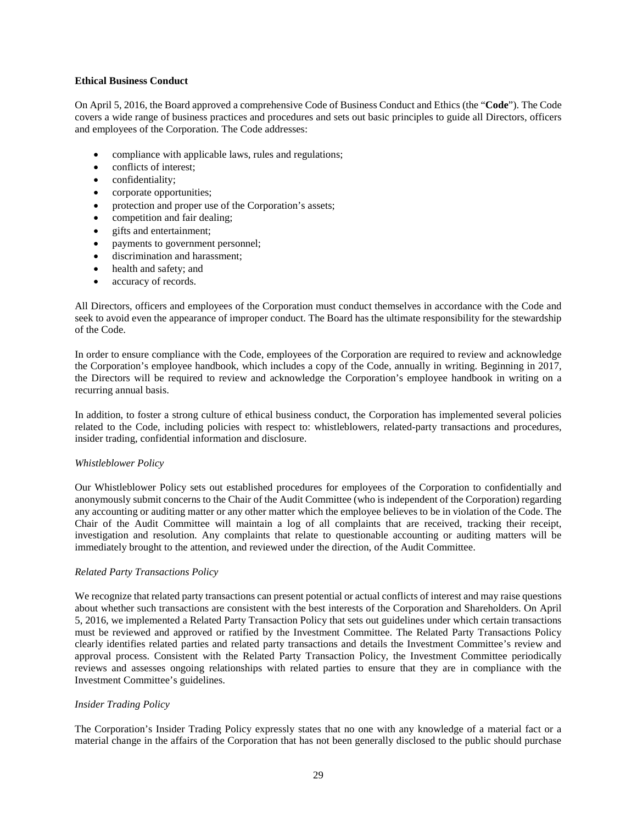### <span id="page-32-0"></span>**Ethical Business Conduct**

On April 5, 2016, the Board approved a comprehensive Code of Business Conduct and Ethics (the "**Code**"). The Code covers a wide range of business practices and procedures and sets out basic principles to guide all Directors, officers and employees of the Corporation. The Code addresses:

- compliance with applicable laws, rules and regulations;
- conflicts of interest;
- confidentiality;
- corporate opportunities;
- protection and proper use of the Corporation's assets;
- competition and fair dealing;
- gifts and entertainment:
- payments to government personnel;
- discrimination and harassment;
- health and safety; and
- accuracy of records.

All Directors, officers and employees of the Corporation must conduct themselves in accordance with the Code and seek to avoid even the appearance of improper conduct. The Board has the ultimate responsibility for the stewardship of the Code.

In order to ensure compliance with the Code, employees of the Corporation are required to review and acknowledge the Corporation's employee handbook, which includes a copy of the Code, annually in writing. Beginning in 2017, the Directors will be required to review and acknowledge the Corporation's employee handbook in writing on a recurring annual basis.

In addition, to foster a strong culture of ethical business conduct, the Corporation has implemented several policies related to the Code, including policies with respect to: whistleblowers, related-party transactions and procedures, insider trading, confidential information and disclosure.

# *Whistleblower Policy*

Our Whistleblower Policy sets out established procedures for employees of the Corporation to confidentially and anonymously submit concerns to the Chair of the Audit Committee (who is independent of the Corporation) regarding any accounting or auditing matter or any other matter which the employee believes to be in violation of the Code. The Chair of the Audit Committee will maintain a log of all complaints that are received, tracking their receipt, investigation and resolution. Any complaints that relate to questionable accounting or auditing matters will be immediately brought to the attention, and reviewed under the direction, of the Audit Committee.

# *Related Party Transactions Policy*

We recognize that related party transactions can present potential or actual conflicts of interest and may raise questions about whether such transactions are consistent with the best interests of the Corporation and Shareholders. On April 5, 2016, we implemented a Related Party Transaction Policy that sets out guidelines under which certain transactions must be reviewed and approved or ratified by the Investment Committee. The Related Party Transactions Policy clearly identifies related parties and related party transactions and details the Investment Committee's review and approval process. Consistent with the Related Party Transaction Policy, the Investment Committee periodically reviews and assesses ongoing relationships with related parties to ensure that they are in compliance with the Investment Committee's guidelines.

# *Insider Trading Policy*

The Corporation's Insider Trading Policy expressly states that no one with any knowledge of a material fact or a material change in the affairs of the Corporation that has not been generally disclosed to the public should purchase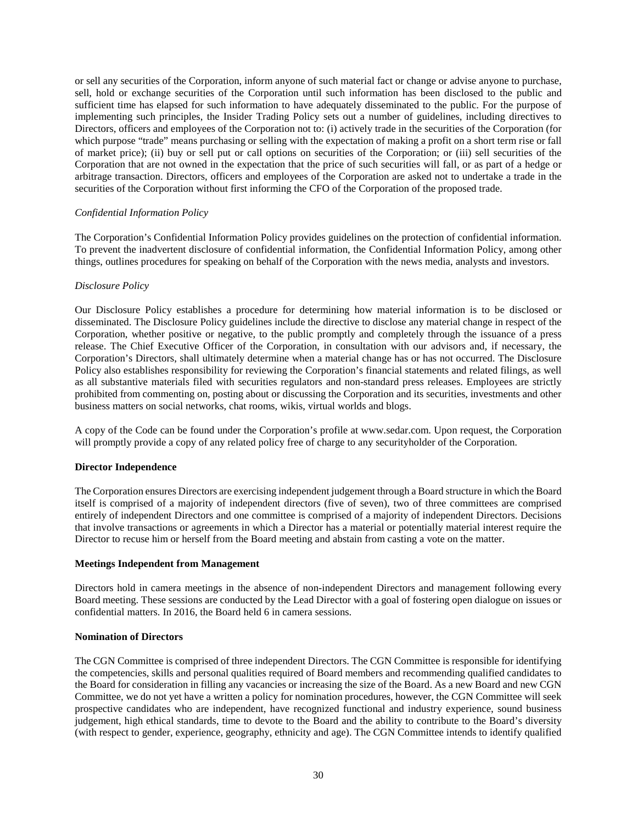or sell any securities of the Corporation, inform anyone of such material fact or change or advise anyone to purchase, sell, hold or exchange securities of the Corporation until such information has been disclosed to the public and sufficient time has elapsed for such information to have adequately disseminated to the public. For the purpose of implementing such principles, the Insider Trading Policy sets out a number of guidelines, including directives to Directors, officers and employees of the Corporation not to: (i) actively trade in the securities of the Corporation (for which purpose "trade" means purchasing or selling with the expectation of making a profit on a short term rise or fall of market price); (ii) buy or sell put or call options on securities of the Corporation; or (iii) sell securities of the Corporation that are not owned in the expectation that the price of such securities will fall, or as part of a hedge or arbitrage transaction. Directors, officers and employees of the Corporation are asked not to undertake a trade in the securities of the Corporation without first informing the CFO of the Corporation of the proposed trade.

### *Confidential Information Policy*

The Corporation's Confidential Information Policy provides guidelines on the protection of confidential information. To prevent the inadvertent disclosure of confidential information, the Confidential Information Policy, among other things, outlines procedures for speaking on behalf of the Corporation with the news media, analysts and investors.

### *Disclosure Policy*

Our Disclosure Policy establishes a procedure for determining how material information is to be disclosed or disseminated. The Disclosure Policy guidelines include the directive to disclose any material change in respect of the Corporation, whether positive or negative, to the public promptly and completely through the issuance of a press release. The Chief Executive Officer of the Corporation, in consultation with our advisors and, if necessary, the Corporation's Directors, shall ultimately determine when a material change has or has not occurred. The Disclosure Policy also establishes responsibility for reviewing the Corporation's financial statements and related filings, as well as all substantive materials filed with securities regulators and non-standard press releases. Employees are strictly prohibited from commenting on, posting about or discussing the Corporation and its securities, investments and other business matters on social networks, chat rooms, wikis, virtual worlds and blogs.

A copy of the Code can be found under the Corporation's profile at www.sedar.com. Upon request, the Corporation will promptly provide a copy of any related policy free of charge to any security holder of the Corporation.

#### <span id="page-33-0"></span>**Director Independence**

The Corporation ensures Directors are exercising independent judgement through a Board structure in which the Board itself is comprised of a majority of independent directors (five of seven), two of three committees are comprised entirely of independent Directors and one committee is comprised of a majority of independent Directors. Decisions that involve transactions or agreements in which a Director has a material or potentially material interest require the Director to recuse him or herself from the Board meeting and abstain from casting a vote on the matter.

#### <span id="page-33-1"></span>**Meetings Independent from Management**

Directors hold in camera meetings in the absence of non-independent Directors and management following every Board meeting. These sessions are conducted by the Lead Director with a goal of fostering open dialogue on issues or confidential matters. In 2016, the Board held 6 in camera sessions.

#### <span id="page-33-2"></span>**Nomination of Directors**

The CGN Committee is comprised of three independent Directors. The CGN Committee is responsible for identifying the competencies, skills and personal qualities required of Board members and recommending qualified candidates to the Board for consideration in filling any vacancies or increasing the size of the Board. As a new Board and new CGN Committee, we do not yet have a written a policy for nomination procedures, however, the CGN Committee will seek prospective candidates who are independent, have recognized functional and industry experience, sound business judgement, high ethical standards, time to devote to the Board and the ability to contribute to the Board's diversity (with respect to gender, experience, geography, ethnicity and age). The CGN Committee intends to identify qualified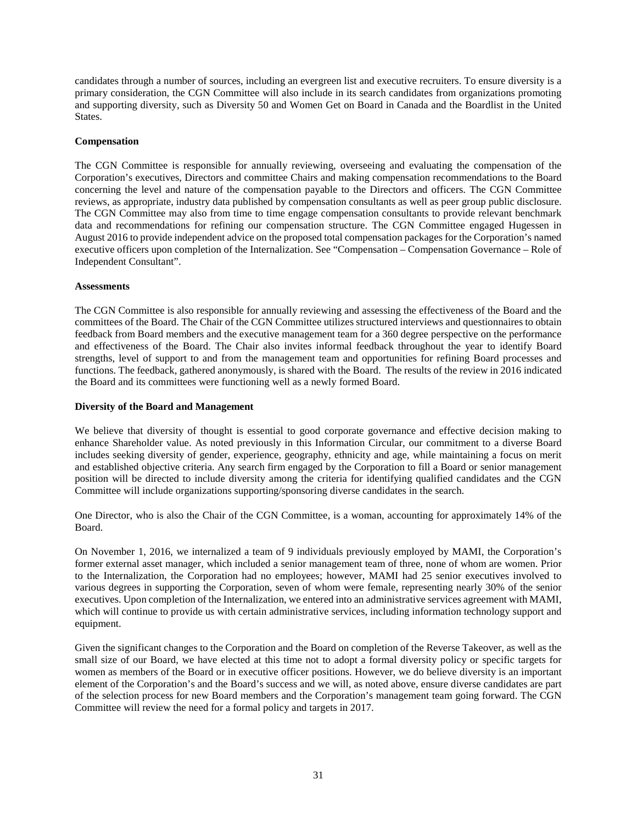candidates through a number of sources, including an evergreen list and executive recruiters. To ensure diversity is a primary consideration, the CGN Committee will also include in its search candidates from organizations promoting and supporting diversity, such as Diversity 50 and Women Get on Board in Canada and the Boardlist in the United States.

### <span id="page-34-0"></span>**Compensation**

The CGN Committee is responsible for annually reviewing, overseeing and evaluating the compensation of the Corporation's executives, Directors and committee Chairs and making compensation recommendations to the Board concerning the level and nature of the compensation payable to the Directors and officers. The CGN Committee reviews, as appropriate, industry data published by compensation consultants as well as peer group public disclosure. The CGN Committee may also from time to time engage compensation consultants to provide relevant benchmark data and recommendations for refining our compensation structure. The CGN Committee engaged Hugessen in August 2016 to provide independent advice on the proposed total compensation packages for the Corporation's named executive officers upon completion of the Internalization. See "Compensation – Compensation Governance – Role of Independent Consultant".

#### <span id="page-34-1"></span>**Assessments**

The CGN Committee is also responsible for annually reviewing and assessing the effectiveness of the Board and the committees of the Board. The Chair of the CGN Committee utilizes structured interviews and questionnaires to obtain feedback from Board members and the executive management team for a 360 degree perspective on the performance and effectiveness of the Board. The Chair also invites informal feedback throughout the year to identify Board strengths, level of support to and from the management team and opportunities for refining Board processes and functions. The feedback, gathered anonymously, is shared with the Board. The results of the review in 2016 indicated the Board and its committees were functioning well as a newly formed Board.

### <span id="page-34-2"></span>**Diversity of the Board and Management**

We believe that diversity of thought is essential to good corporate governance and effective decision making to enhance Shareholder value. As noted previously in this Information Circular, our commitment to a diverse Board includes seeking diversity of gender, experience, geography, ethnicity and age, while maintaining a focus on merit and established objective criteria. Any search firm engaged by the Corporation to fill a Board or senior management position will be directed to include diversity among the criteria for identifying qualified candidates and the CGN Committee will include organizations supporting/sponsoring diverse candidates in the search.

One Director, who is also the Chair of the CGN Committee, is a woman, accounting for approximately 14% of the Board.

On November 1, 2016, we internalized a team of 9 individuals previously employed by MAMI, the Corporation's former external asset manager, which included a senior management team of three, none of whom are women. Prior to the Internalization, the Corporation had no employees; however, MAMI had 25 senior executives involved to various degrees in supporting the Corporation, seven of whom were female, representing nearly 30% of the senior executives. Upon completion of the Internalization, we entered into an administrative services agreement with MAMI, which will continue to provide us with certain administrative services, including information technology support and equipment.

Given the significant changes to the Corporation and the Board on completion of the Reverse Takeover, as well as the small size of our Board, we have elected at this time not to adopt a formal diversity policy or specific targets for women as members of the Board or in executive officer positions. However, we do believe diversity is an important element of the Corporation's and the Board's success and we will, as noted above, ensure diverse candidates are part of the selection process for new Board members and the Corporation's management team going forward. The CGN Committee will review the need for a formal policy and targets in 2017.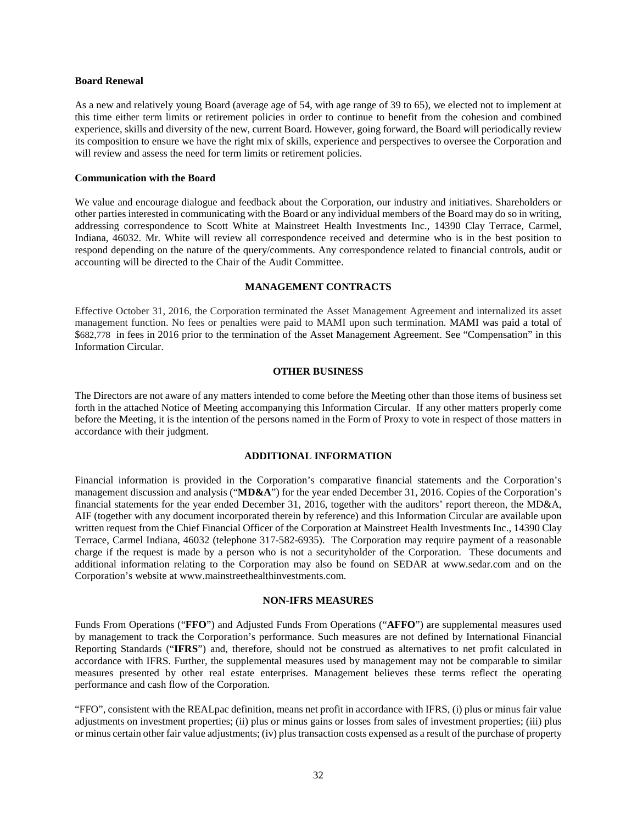### <span id="page-35-0"></span>**Board Renewal**

As a new and relatively young Board (average age of 54, with age range of 39 to 65), we elected not to implement at this time either term limits or retirement policies in order to continue to benefit from the cohesion and combined experience, skills and diversity of the new, current Board. However, going forward, the Board will periodically review its composition to ensure we have the right mix of skills, experience and perspectives to oversee the Corporation and will review and assess the need for term limits or retirement policies.

#### <span id="page-35-1"></span>**Communication with the Board**

We value and encourage dialogue and feedback about the Corporation, our industry and initiatives. Shareholders or other parties interested in communicating with the Board or any individual members of the Board may do so in writing, addressing correspondence to Scott White at Mainstreet Health Investments Inc., 14390 Clay Terrace, Carmel, Indiana, 46032. Mr. White will review all correspondence received and determine who is in the best position to respond depending on the nature of the query/comments. Any correspondence related to financial controls, audit or accounting will be directed to the Chair of the Audit Committee.

## **MANAGEMENT CONTRACTS**

<span id="page-35-2"></span>Effective October 31, 2016, the Corporation terminated the Asset Management Agreement and internalized its asset management function. No fees or penalties were paid to MAMI upon such termination. MAMI was paid a total of \$682,778 in fees in 2016 prior to the termination of the Asset Management Agreement. See "Compensation" in this Information Circular.

#### **OTHER BUSINESS**

<span id="page-35-3"></span>The Directors are not aware of any matters intended to come before the Meeting other than those items of business set forth in the attached Notice of Meeting accompanying this Information Circular. If any other matters properly come before the Meeting, it is the intention of the persons named in the Form of Proxy to vote in respect of those matters in accordance with their judgment.

#### **ADDITIONAL INFORMATION**

<span id="page-35-4"></span>Financial information is provided in the Corporation's comparative financial statements and the Corporation's management discussion and analysis ("**MD&A**") for the year ended December 31, 2016. Copies of the Corporation's financial statements for the year ended December 31, 2016, together with the auditors' report thereon, the MD&A, AIF (together with any document incorporated therein by reference) and this Information Circular are available upon written request from the Chief Financial Officer of the Corporation at Mainstreet Health Investments Inc., 14390 Clay Terrace, Carmel Indiana, 46032 (telephone 317-582-6935). The Corporation may require payment of a reasonable charge if the request is made by a person who is not a securityholder of the Corporation. These documents and additional information relating to the Corporation may also be found on SEDAR at www.sedar.com and on the Corporation's website at www.mainstreethealthinvestments.com.

#### **NON-IFRS MEASURES**

Funds From Operations ("**FFO**") and Adjusted Funds From Operations ("**AFFO**") are supplemental measures used by management to track the Corporation's performance. Such measures are not defined by International Financial Reporting Standards ("**IFRS**") and, therefore, should not be construed as alternatives to net profit calculated in accordance with IFRS. Further, the supplemental measures used by management may not be comparable to similar measures presented by other real estate enterprises. Management believes these terms reflect the operating performance and cash flow of the Corporation.

"FFO", consistent with the REALpac definition, means net profit in accordance with IFRS, (i) plus or minus fair value adjustments on investment properties; (ii) plus or minus gains or losses from sales of investment properties; (iii) plus or minus certain other fair value adjustments; (iv) plus transaction costs expensed as a result of the purchase of property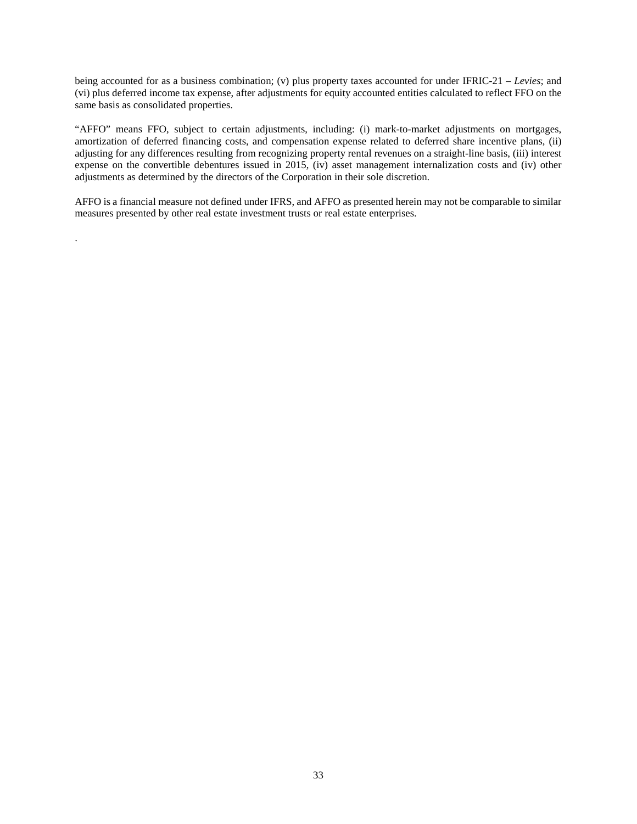being accounted for as a business combination; (v) plus property taxes accounted for under IFRIC-21 – *Levies*; and (vi) plus deferred income tax expense, after adjustments for equity accounted entities calculated to reflect FFO on the same basis as consolidated properties.

"AFFO" means FFO, subject to certain adjustments, including: (i) mark-to-market adjustments on mortgages, amortization of deferred financing costs, and compensation expense related to deferred share incentive plans, (ii) adjusting for any differences resulting from recognizing property rental revenues on a straight-line basis, (iii) interest expense on the convertible debentures issued in 2015, (iv) asset management internalization costs and (iv) other adjustments as determined by the directors of the Corporation in their sole discretion.

AFFO is a financial measure not defined under IFRS, and AFFO as presented herein may not be comparable to similar measures presented by other real estate investment trusts or real estate enterprises.

.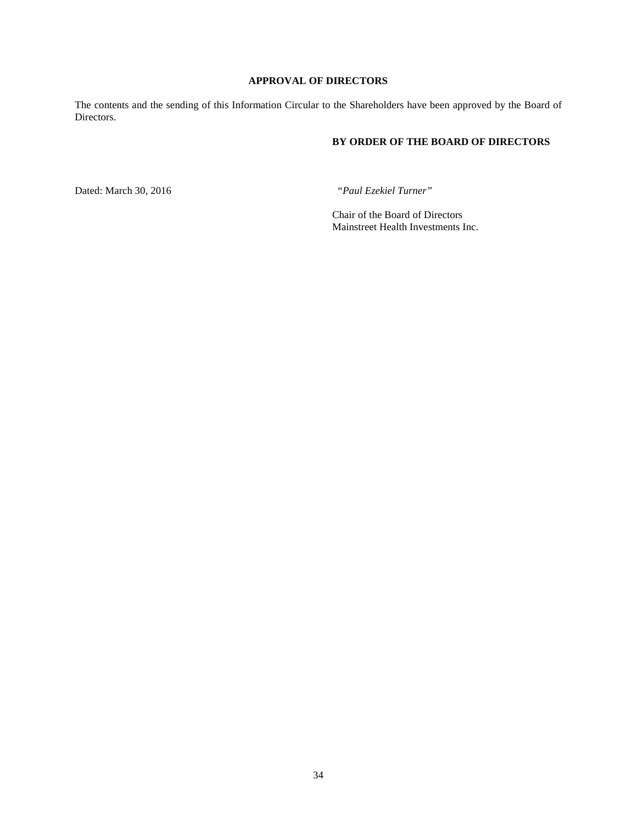# **APPROVAL OF DIRECTORS**

<span id="page-37-0"></span>The contents and the sending of this Information Circular to the Shareholders have been approved by the Board of Directors.

# **BY ORDER OF THE BOARD OF DIRECTORS**

Dated: March 30, 2016 *"Paul Ezekiel Turner"*

Chair of the Board of Directors Mainstreet Health Investments Inc.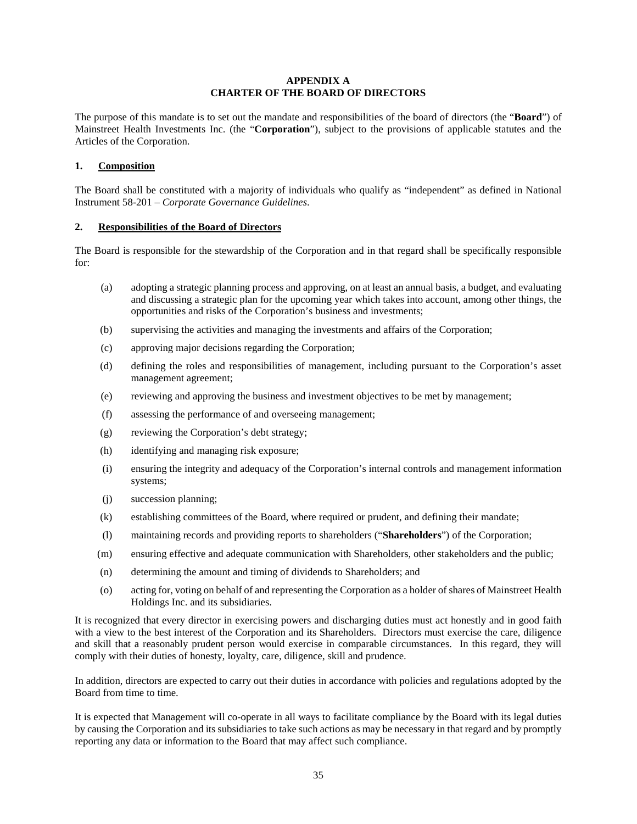## **APPENDIX A CHARTER OF THE BOARD OF DIRECTORS**

The purpose of this mandate is to set out the mandate and responsibilities of the board of directors (the "**Board**") of Mainstreet Health Investments Inc. (the "**Corporation**"), subject to the provisions of applicable statutes and the Articles of the Corporation.

## **1. Composition**

The Board shall be constituted with a majority of individuals who qualify as "independent" as defined in National Instrument 58-201 – *Corporate Governance Guidelines*.

#### **2. Responsibilities of the Board of Directors**

The Board is responsible for the stewardship of the Corporation and in that regard shall be specifically responsible for:

- (a) adopting a strategic planning process and approving, on at least an annual basis, a budget, and evaluating and discussing a strategic plan for the upcoming year which takes into account, among other things, the opportunities and risks of the Corporation's business and investments;
- (b) supervising the activities and managing the investments and affairs of the Corporation;
- (c) approving major decisions regarding the Corporation;
- (d) defining the roles and responsibilities of management, including pursuant to the Corporation's asset management agreement;
- (e) reviewing and approving the business and investment objectives to be met by management;
- (f) assessing the performance of and overseeing management;
- (g) reviewing the Corporation's debt strategy;
- (h) identifying and managing risk exposure;
- (i) ensuring the integrity and adequacy of the Corporation's internal controls and management information systems;
- (j) succession planning;
- (k) establishing committees of the Board, where required or prudent, and defining their mandate;
- (l) maintaining records and providing reports to shareholders ("**Shareholders**") of the Corporation;
- (m) ensuring effective and adequate communication with Shareholders, other stakeholders and the public;
- (n) determining the amount and timing of dividends to Shareholders; and
- (o) acting for, voting on behalf of and representing the Corporation as a holder of shares of Mainstreet Health Holdings Inc. and its subsidiaries.

It is recognized that every director in exercising powers and discharging duties must act honestly and in good faith with a view to the best interest of the Corporation and its Shareholders. Directors must exercise the care, diligence and skill that a reasonably prudent person would exercise in comparable circumstances. In this regard, they will comply with their duties of honesty, loyalty, care, diligence, skill and prudence.

In addition, directors are expected to carry out their duties in accordance with policies and regulations adopted by the Board from time to time.

It is expected that Management will co-operate in all ways to facilitate compliance by the Board with its legal duties by causing the Corporation and its subsidiaries to take such actions as may be necessary in that regard and by promptly reporting any data or information to the Board that may affect such compliance.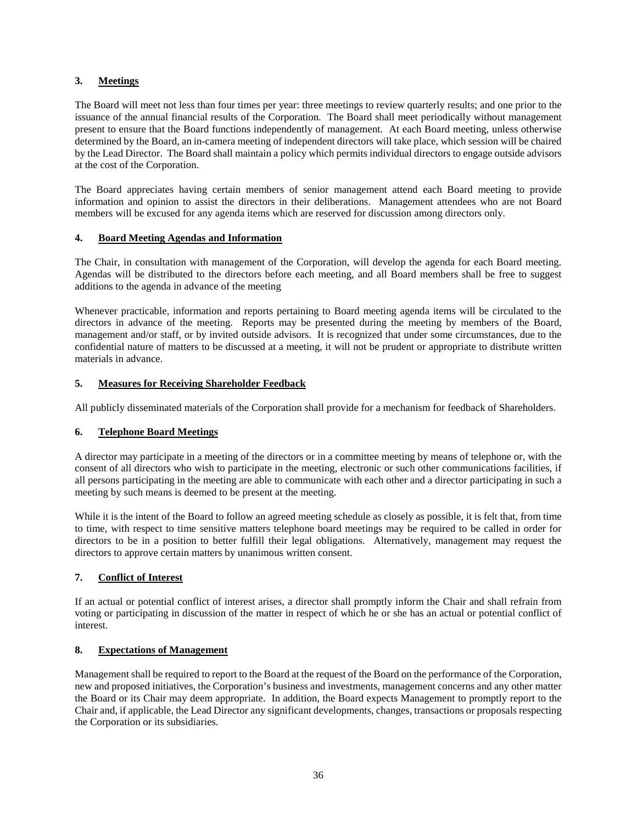# **3. Meetings**

The Board will meet not less than four times per year: three meetings to review quarterly results; and one prior to the issuance of the annual financial results of the Corporation. The Board shall meet periodically without management present to ensure that the Board functions independently of management. At each Board meeting, unless otherwise determined by the Board, an in-camera meeting of independent directors will take place, which session will be chaired by the Lead Director. The Board shall maintain a policy which permits individual directors to engage outside advisors at the cost of the Corporation.

The Board appreciates having certain members of senior management attend each Board meeting to provide information and opinion to assist the directors in their deliberations. Management attendees who are not Board members will be excused for any agenda items which are reserved for discussion among directors only.

# **4. Board Meeting Agendas and Information**

The Chair, in consultation with management of the Corporation, will develop the agenda for each Board meeting. Agendas will be distributed to the directors before each meeting, and all Board members shall be free to suggest additions to the agenda in advance of the meeting

Whenever practicable, information and reports pertaining to Board meeting agenda items will be circulated to the directors in advance of the meeting. Reports may be presented during the meeting by members of the Board, management and/or staff, or by invited outside advisors. It is recognized that under some circumstances, due to the confidential nature of matters to be discussed at a meeting, it will not be prudent or appropriate to distribute written materials in advance.

# **5. Measures for Receiving Shareholder Feedback**

All publicly disseminated materials of the Corporation shall provide for a mechanism for feedback of Shareholders.

# **6. Telephone Board Meetings**

A director may participate in a meeting of the directors or in a committee meeting by means of telephone or, with the consent of all directors who wish to participate in the meeting, electronic or such other communications facilities, if all persons participating in the meeting are able to communicate with each other and a director participating in such a meeting by such means is deemed to be present at the meeting.

While it is the intent of the Board to follow an agreed meeting schedule as closely as possible, it is felt that, from time to time, with respect to time sensitive matters telephone board meetings may be required to be called in order for directors to be in a position to better fulfill their legal obligations. Alternatively, management may request the directors to approve certain matters by unanimous written consent.

# **7. Conflict of Interest**

If an actual or potential conflict of interest arises, a director shall promptly inform the Chair and shall refrain from voting or participating in discussion of the matter in respect of which he or she has an actual or potential conflict of interest.

# **8. Expectations of Management**

Management shall be required to report to the Board at the request of the Board on the performance of the Corporation, new and proposed initiatives, the Corporation's business and investments, management concerns and any other matter the Board or its Chair may deem appropriate. In addition, the Board expects Management to promptly report to the Chair and, if applicable, the Lead Director any significant developments, changes, transactions or proposals respecting the Corporation or its subsidiaries.